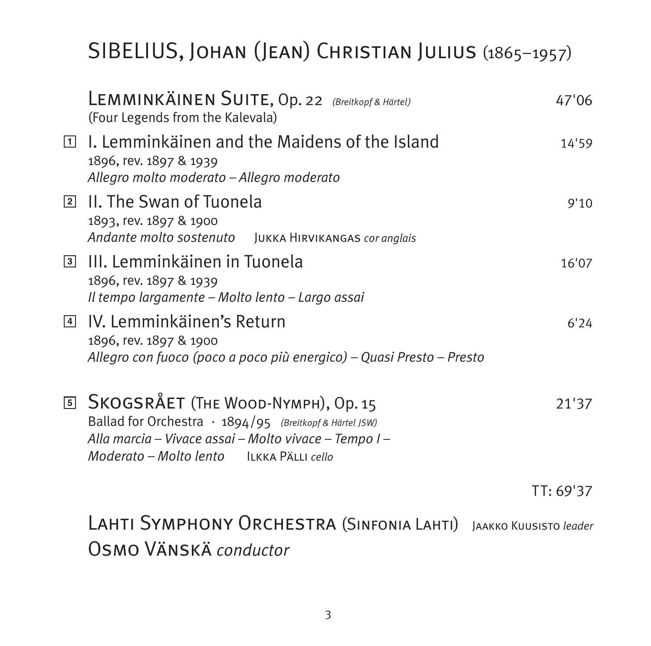# SIBELIUS, Johan (Jean) Christian Julius (1865–1957)

| LEMMINKÄINEN SUITE, Op. 22 (Breitkopf & Härtel)<br>(Four Legends from the Kalevala)                                                                                                                               | 47'06     |
|-------------------------------------------------------------------------------------------------------------------------------------------------------------------------------------------------------------------|-----------|
| $\Box$ I. Lemminkäinen and the Maidens of the Island<br>1896, rev. 1897 & 1939<br>Allegro molto moderato - Allegro moderato                                                                                       | 14'59     |
| <b>2 II. The Swan of Tuonela</b><br>1893, rev. 1897 & 1900<br>Andante molto sostenuto JUKKA HIRVIKANGAS cor anglais                                                                                               | 9'10      |
| <sup>3</sup> III. Lemminkäinen in Tuonela<br>1896, rev. 1897 & 1939<br>Il tempo largamente - Molto lento - Largo assai                                                                                            | 16'07     |
| <sup>[4]</sup> IV. Lemminkäinen's Return<br>1896, rev. 1897 & 1900<br>Allegro con fuoco (poco a poco più energico) – Quasi Presto – Presto                                                                        | 6'24      |
| <b>5 SKOGSRÅET (THE WOOD-NYMPH), Op. 15</b><br>Ballad for Orchestra $\cdot$ 1894/95 (Breitkopf & Härtel JSW)<br>Alla marcia - Vivace assai - Molto vivace - Tempo I -<br>Moderato - Molto lento LEKKA PÄLLI cello | 21'37     |
|                                                                                                                                                                                                                   | TT: 69'37 |

Lahti Symphony Orchestra (Sinfonia Lahti) Jaakko Kuusisto *leader* Osmo Vänskä *conductor*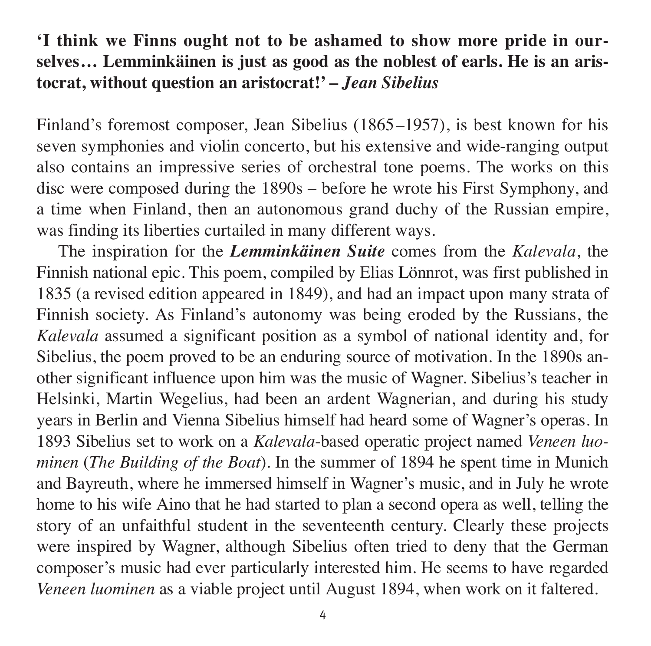## **'I think we Finns ought not to be ashamed to show more pride in our selves… Lemminkäinen is just as good as the noblest of earls. He is an aris to crat, without question an aristocrat!' –** *Jean Sibelius*

Finland's foremost composer, Jean Sibelius (1865–1957), is best known for his seven symphonies and violin concerto, but his extensive and wide-ranging output also contains an impressive series of orchestral tone poems. The works on this disc were composed during the 1890s – before he wrote his First Symphony, and a time when Finland, then an autonomous grand duchy of the Russian empire, was finding its liberties curtailed in many different ways.

The inspiration for the *Lemminkäinen Suite* comes from the *Kalevala*, the Finnish national epic. This poem, compiled by Elias Lönnrot, was first published in 1835 (a revised edition appeared in 1849), and had an impact upon many strata of Finnish society. As Finland's autonomy was being eroded by the Russians, the *Kale vala* assumed a significant position as a symbol of national identity and, for Sibelius, the poem proved to be an enduring source of motivation. In the 1890s an other significant influence upon him was the music of Wagner. Sibelius's teacher in Helsinki, Martin Wegelius, had been an ardent Wagnerian, and during his study years in Berlin and Vienna Sibelius himself had heard some of Wagner's operas. In 1893 Sibelius set to work on a *Kalevala*-based operatic project named *Veneen luo minen* (*The Building of the Boat*). In the summer of 1894 he spent time in Munich and Bayreuth, where he immersed himself in Wagner's music, and in July he wrote home to his wife Aino that he had started to plan a second opera as well, telling the story of an unfaithful student in the seventeenth century. Clearly these projects were inspired by Wagner, although Sibelius often tried to deny that the German com poser's music had ever particularly interested him. He seems to have regarded *Veneen luominen* as a viable project until August 1894, when work on it faltered.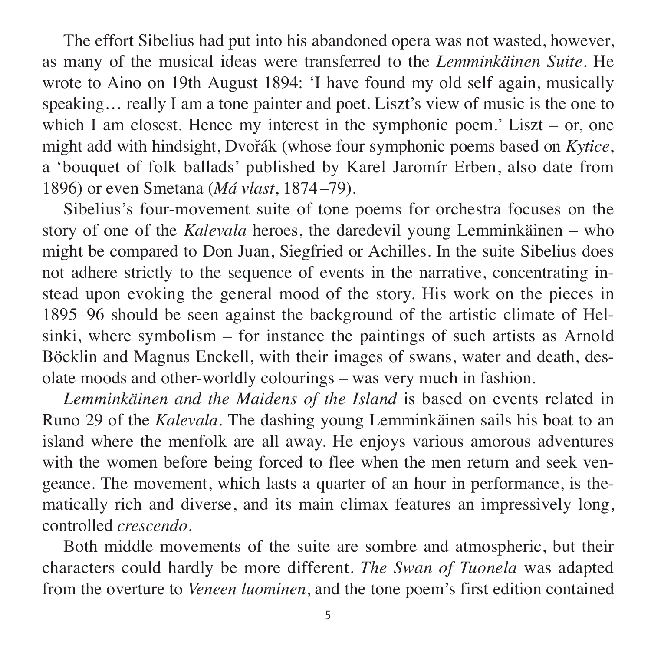The effort Sibelius had put into his abandoned opera was not wasted, however, as many of the musical ideas were transferred to the *Lemminkäinen Suite*. He wrote to Aino on 19th August 1894: 'I have found my old self again, musically speaking... really I am a tone painter and poet. Liszt's view of music is the one to which I am closest. Hence my interest in the symphonic poem.' Liszt – or, one might add with hindsight, Dvořák (whose four symphonic poems based on *Kytice*, a 'bouquet of folk ballads' published by Karel Jaromír Erben, also date from 1896) or even Smetana (*Má vlast*, 1874–79).

Sibelius's four-movement suite of tone poems for orchestra focuses on the story of one of the *Kalevala* heroes, the daredevil young Lemminkäinen – who might be compared to Don Juan, Siegfried or Achilles. In the suite Sibelius does not adhere strictly to the sequence of events in the narrative, concentrating instead upon evoking the general mood of the story. His work on the pieces in 1895–96 should be seen against the background of the artistic climate of Hel sinki, where symbolism – for instance the paintings of such artists as Arnold Böcklin and Magnus Enckell, with their images of swans, water and death, desolate moods and other-worldly colourings – was very much in fashion.

*Lemminkäinen and the Maidens of the Island* is based on events related in Runo 29 of the *Kalevala*. The dashing young Lemminkäinen sails his boat to an island where the menfolk are all away. He enjoys various amorous adventures with the women before being forced to flee when the men return and seek vengeance. The movement, which lasts a quarter of an hour in performance, is thematically rich and diverse, and its main climax features an impressively long, controlled *crescendo*.

Both middle movements of the suite are sombre and atmospheric, but their char acters could hardly be more different. *The Swan of Tuonela* was adapted from the overture to *Veneen luominen*, and the tone poem's first edition contained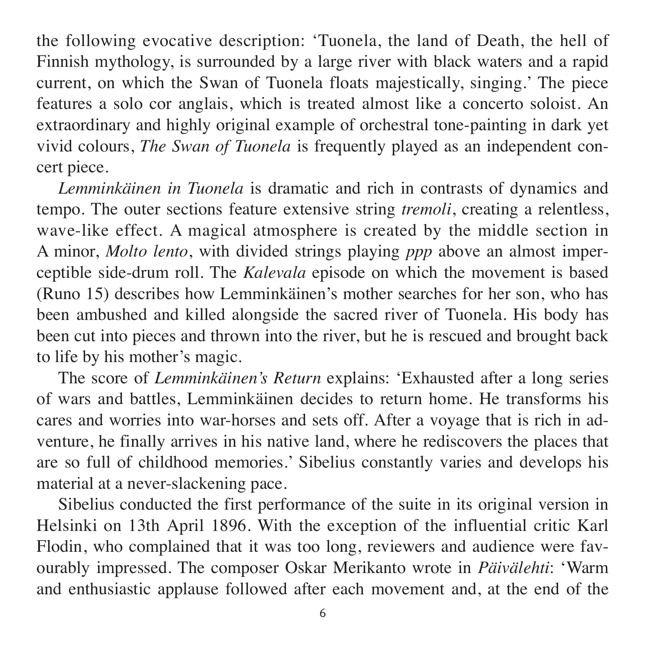the following evocative description: 'Tuonela, the land of Death, the hell of Finnish mythology, is surrounded by a large river with black waters and a rapid current, on which the Swan of Tuonela floats majestically, singing.' The piece features a solo cor anglais, which is treated almost like a concerto soloist. An extraordinary and highly original example of orchestral tone-painting in dark yet vivid colours, *The Swan of Tuonela* is frequently played as an independent concert piece.

*Lemminkäinen in Tuonela* is dramatic and rich in contrasts of dynamics and tempo. The outer sections feature extensive string *tremoli*, creating a relentless, wave-like effect. A magical atmosphere is created by the middle section in A minor, *Molto lento*, with divided strings playing *ppp* above an almost imper ceptible side-drum roll. The *Kalevala* episode on which the movement is based (Runo 15) describes how Lemminkäinen's mother searches for her son, who has been ambushed and killed alongside the sacred river of Tuonela. His body has been cut into pieces and thrown into the river, but he is rescued and brought back to life by his mother's magic.

The score of *Lemminkäinen's Return* explains: 'Exhausted after a long series of wars and battles, Lemminkäinen decides to return home. He transforms his cares and worries into war-horses and sets off. After a voyage that is rich in ad venture, he finally arrives in his native land, where he rediscovers the places that are so full of childhood memories.' Sibelius constantly varies and develops his material at a never-slackening pace.

Sibelius conducted the first performance of the suite in its original version in Helsinki on 13th April 1896. With the exception of the influential critic Karl Flodin, who complained that it was too long, reviewers and audience were favour ably impressed. The composer Oskar Merikanto wrote in *Päivälehti*: 'Warm and enthusiastic applause followed after each movement and, at the end of the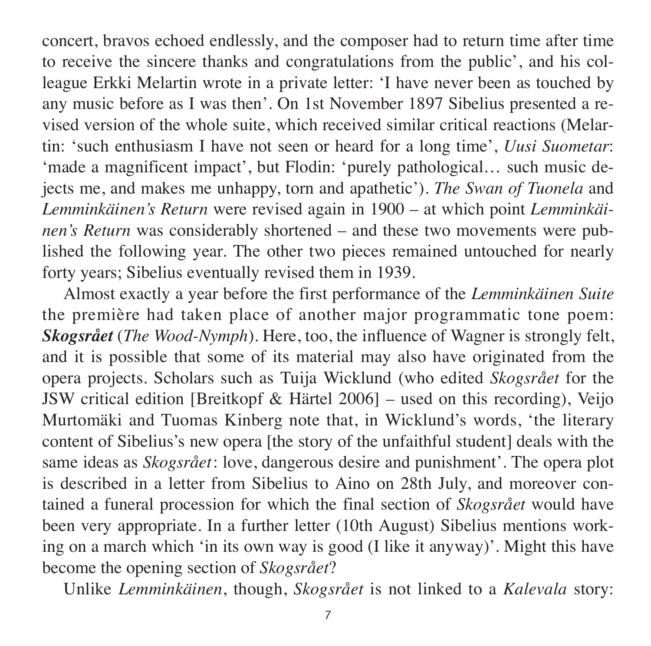concert, bravos echoed endlessly, and the composer had to return time after time to receive the sincere thanks and congratulations from the public', and his colleague Erkki Melartin wrote in a private letter: 'I have never been as touched by any music before as I was then'. On 1st November 1897 Sibelius presented a re vised version of the whole suite, which received similar critical reactions (Melar tin: 'such enthusiasm I have not seen or heard for a long time', *Uusi Suometar*: 'made a magnificent impact', but Flodin: 'purely pathological... such music dejects me, and makes me unhappy, torn and apathetic'). *The Swan of Tuonela* and *Lemminkäinen's Return* were revised again in 1900 – at which point *Lemminkäinen's Return* was considerably shortened – and these two movements were published the following year. The other two pieces remained untouched for nearly forty years; Sibelius eventually revised them in 1939.

Almost exactly a year before the first performance of the *Lemminkäinen Suite* the première had taken place of another major programmatic tone poem: *Skogsrået* (*The Wood-Nymph*). Here, too, the influence of Wagner is strongly felt, and it is possible that some of its material may also have originated from the opera projects. Scholars such as Tuija Wicklund (who edited *Skogsrået* for the JSW critical edition [Breitkopf & Härtel 2006] – used on this recording), Veijo Murtomäki and Tuomas Kinberg note that, in Wicklund's words, 'the literary content of Sibelius's new opera [the story of the unfaithful student] deals with the same ideas as *Skogsrået*: love, dangerous desire and punishment'. The opera plot is described in a letter from Sibelius to Aino on 28th July, and moreover contained a funeral procession for which the final section of *Skogsrået* would have been very appropriate. In a further letter (10th August) Sibelius mentions work ing on a march which 'in its own way is good (I like it anyway)'. Might this have become the opening section of *Skogsrået*?

Unlike *Lemminkäinen*, though, *Skogsrået* is not linked to a *Kalevala* story: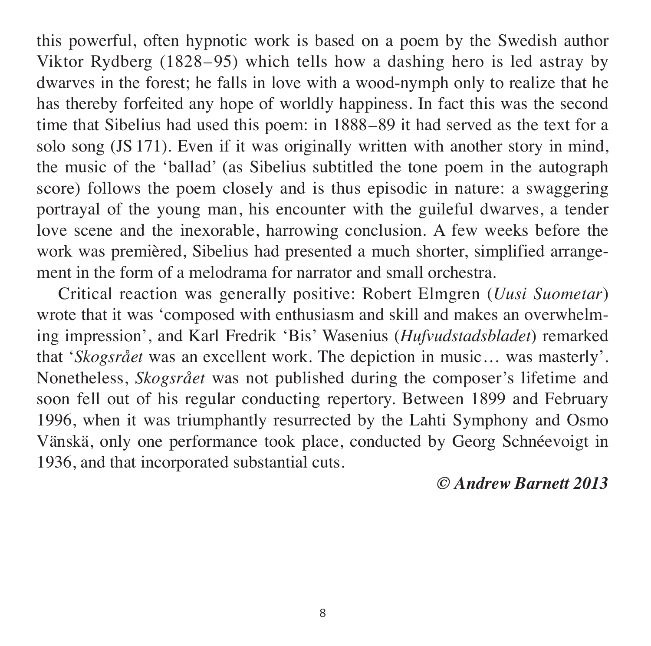this powerful, often hypnotic work is based on a poem by the Swedish author Viktor Rydberg (1828–95) which tells how a dashing hero is led astray by dwarves in the forest; he falls in love with a wood-nymph only to realize that he has thereby forfeited any hope of worldly happiness. In fact this was the second time that Sibelius had used this poem: in 1888–89 it had served as the text for a solo song (JS 171). Even if it was originally written with another story in mind, the music of the 'ballad' (as Sibelius subtitled the tone poem in the autograph score) follows the poem closely and is thus episodic in nature: a swaggering portrayal of the young man, his encounter with the guileful dwarves, a tender love scene and the inexorable, harrowing conclusion. A few weeks before the work was premièred, Sibelius had presented a much shorter, simplified arrangement in the form of a melodrama for narrator and small orchestra.

Critical reaction was generally positive: Robert Elmgren (*Uusi Suometar*) wrote that it was 'composed with enthusiasm and skill and makes an overwhelming impression', and Karl Fredrik 'Bis' Wasenius (*Hufvudstadsbladet*) remarked that '*Skogsrået* was an excellent work. The depiction in music… was masterly'. None theless, *Skogsrået* was not published during the composer's lifetime and soon fell out of his regular conducting repertory. Between 1899 and February 1996, when it was triumphantly resurrected by the Lahti Symphony and Osmo Vänskä, only one performance took place, conducted by Georg Schnéevoigt in 1936, and that incorporated substantial cuts.

*© Andrew Barnett 2013*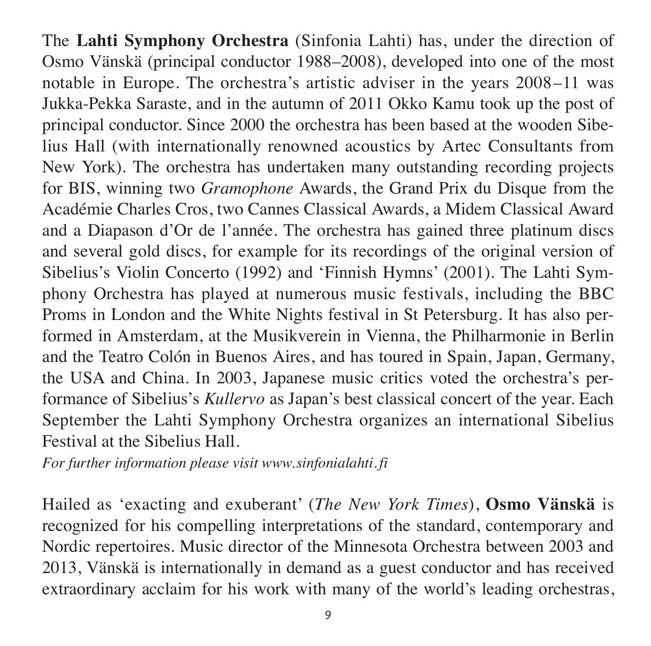The **Lahti Symphony Orchestra** (Sinfonia Lahti) has, under the direction of Osmo Vänskä (principal conductor 1988–2008), developed into one of the most notable in Europe. The orchestra's artistic adviser in the years 2008–11 was Jukka-Pekka Saraste, and in the autumn of 2011 Okko Kamu took up the post of principal conductor. Since 2000 the orchestra has been based at the wooden Sibelius Hall (with internationally renowned acoustics by Artec Consultants from New York). The orchestra has undertaken many outstanding recording projects for BIS, winning two *Gramophone* Awards, the Grand Prix du Disque from the Aca démie Charles Cros, two Cannes Clas sical Awards, a Midem Classical Award and a Diapason d'Or de l'année. The orchestra has gained three platinum discs and several gold discs, for example for its recordings of the original version of Sibelius's Violin Concerto (1992) and 'Finnish Hymns' (2001). The Lahti Symphony Orchestra has played at numerous music festivals, including the BBC Proms in London and the White Nights festival in St Petersburg. It has also performed in Amsterdam, at the Musik verein in Vienna, the Philharmonie in Berlin and the Teatro Colón in Buenos Aires, and has toured in Spain, Japan, Germany, the USA and China. In 2003, Japanese music critics voted the orchestra's performance of Sibelius's *Kullervo* as Japan's best classical concert of the year. Each September the Lahti Symphony Orchestra organizes an international Sibelius Festival at the Sibelius Hall

*For further information please visit www.sinfonialahti. fi*

Hailed as 'exacting and exuberant' (*The New York Times*), **Osmo Vänskä** is recognized for his compelling interpretations of the standard, contemporary and Nordic repertoires. Music director of the Minnesota Orchestra between 2003 and 2013, Vänskä is internationally in demand as a guest conductor and has received extraordinary acclaim for his work with many of the world's leading orchestras,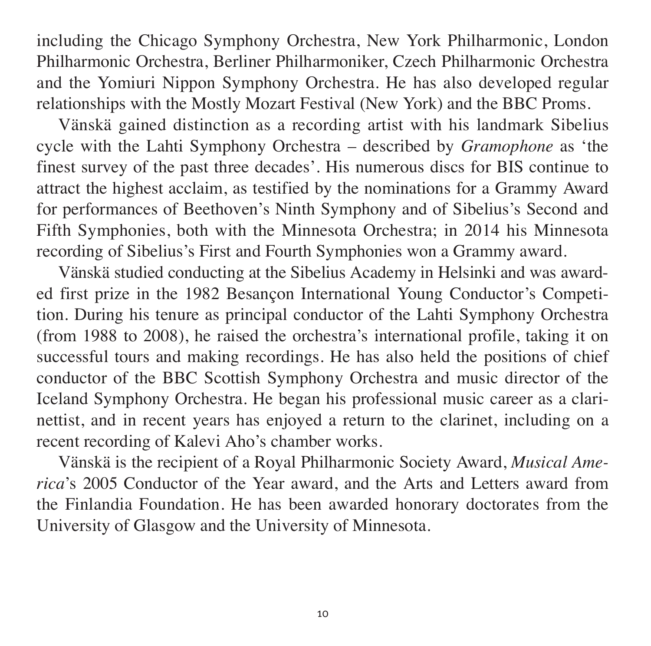including the Chicago Symphony Orchestra, New York Philharmonic, London Philharmonic Orchestra, Berliner Philharmoniker, Czech Philharmonic Orchestra and the Yomiuri Nippon Symphony Orchestra. He has also developed regular relationships with the Mostly Mozart Festival (New York) and the BBC Proms.

Vänskä gained distinction as a recording artist with his landmark Sibelius cycle with the Lahti Symphony Orchestra – described by *Gramophone* as 'the finest survey of the past three decades'. His numerous discs for BIS continue to attract the highest acclaim, as testified by the nominations for a Grammy Award for performances of Beethoven's Ninth Symphony and of Sibelius's Second and Fifth Symphonies, both with the Minnesota Orchestra; in 2014 his Minnesota recording of Sibelius's First and Fourth Symphonies won a Grammy award.

Vänskä studied conducting at the Sibelius Academy in Helsinki and was award ed first prize in the 1982 Besancon International Young Conductor's Competition. During his tenure as principal conductor of the Lahti Symphony Orchestra (from 1988 to 2008), he raised the orchestra's international profile, taking it on successful tours and making recordings. He has also held the positions of chief conductor of the BBC Scottish Symphony Orchestra and music director of the Ice land Symphony Orchestra. He began his professional music career as a clari nettist, and in recent years has enjoyed a return to the clarinet, including on a recent recording of Kalevi Aho's chamber works.

Vänskä is the recipient of a Royal Philharmonic Society Award, *Musical Ame rica*'s 2005 Conductor of the Year award, and the Arts and Letters award from the Finlandia Foundation. He has been awarded honorary doctorates from the University of Glasgow and the University of Minnesota.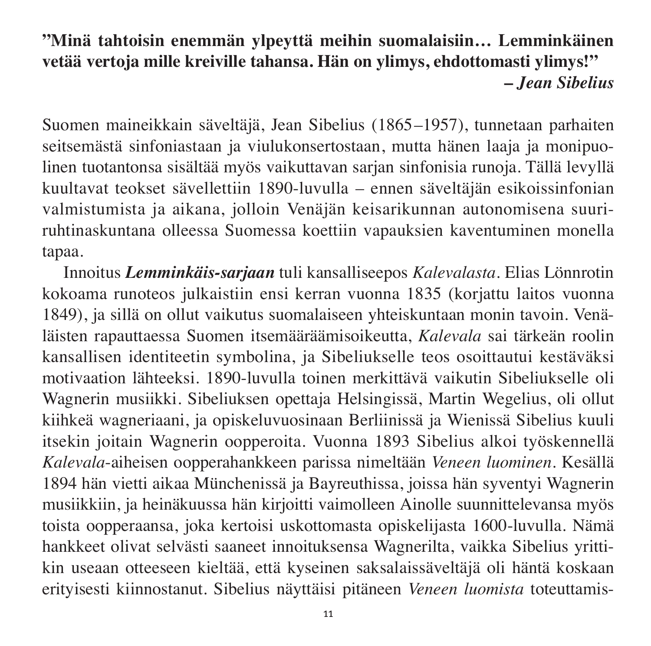# **"Minä tahtoisin enemmän ylpeyttä meihin suomalaisiin… Lemminkäinen vetää vertoja mille kreiville tahansa. Hän on ylimys, ehdottomasti ylimys!" –** *Jean Sibelius*

Suomen maineikkain säveltäjä, Jean Sibelius (1865–1957), tunnetaan parhaiten seitsemästä sinfoniastaan ja viulukonsertostaan, mutta hänen laaja ja monipuolinen tuotantonsa sisältää myös vaikuttavan sarjan sinfonisia runoja. Tällä levyllä kuultavat teokset sävellettiin 1890-luvulla – ennen säveltäjän esikoissinfonian valmistumista ja aikana, jolloin Venäjän keisarikunnan autonomisena suuri ruhtinas kuntana olleessa Suomessa koettiin vapauksien kaventuminen monella tapaa.

Innoitus *Lemminkäis-sarjaan* tuli kansalliseepos *Kalevalasta*. Elias Lönnrotin kokoama runoteos julkaistiin ensi kerran vuonna 1835 (korjattu laitos vuonna 1849), ja sillä on ollut vaikutus suomalaiseen yhteiskuntaan monin tavoin. Venä läisten rapauttaessa Suomen itsemääräämisoikeutta, *Kalevala* sai tärkeän roolin kansallisen identiteetin symbolina, ja Sibeliukselle teos osoittautui kestäväksi moti vaation lähteeksi. 1890-luvulla toinen merkittävä vaikutin Sibeliukselle oli Wagnerin musiikki. Sibeliuksen opettaja Helsingissä, Martin Wegelius, oli ollut kiihkeä wagneriaani, ja opiskeluvuosinaan Berliinissä ja Wienissä Sibelius kuuli itsekin joitain Wagnerin oopperoita. Vuonna 1893 Sibelius alkoi työskennellä *Kalevala*-aiheisen oopperahankkeen parissa nimeltään *Veneen luominen*. Kesällä 1894 hän vietti aikaa Münchenissä ja Bayreuthissa, joissa hän syventyi Wagnerin musiikkiin, ja heinäkuussa hän kirjoitti vaimolleen Ainolle suunnittelevansa myös toista oopperaansa, joka kertoisi uskottomasta opiskelijasta 1600-luvulla. Nämä hankkeet olivat selvästi saaneet innoituksensa Wagnerilta, vaikka Sibelius yrittikin useaan otteeseen kieltää, että kyseinen saksalaissäveltäjä oli häntä koskaan erityisesti kiinnostanut. Sibelius näyttäisi pitäneen *Veneen luomista* toteuttamis -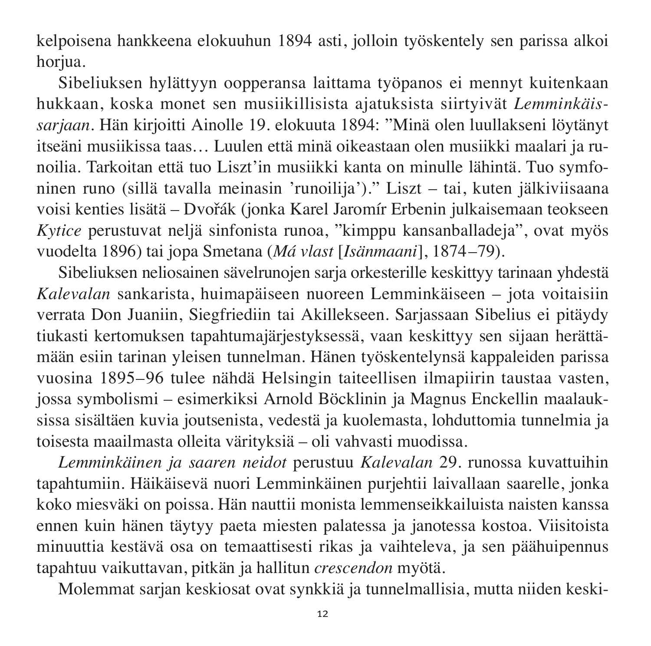kelpoisena hankkeena elokuuhun 1894 asti, jolloin työskentely sen parissa alkoi horiua.

Sibeliuksen hylättyyn oopperansa laittama työpanos ei mennyt kuitenkaan huk kaan, koska monet sen musiikillisista ajatuksista siirtyivät *Lemminkäissarjaan*. Hän kirjoitti Ainolle 19. elokuuta 1894: "Minä olen luullakseni löytänyt itseäni musiikissa taas... Luulen että minä oikeastaan olen musiikki maalari ja runoilia. Tarkoitan että tuo Liszt'in musiikki kanta on minulle lähintä. Tuo symfoninen runo (sillä tavalla meinasin 'runoilija')." Liszt – tai, kuten jälkiviisaana voisi kenties lisätä – Dvořák (jonka Karel Jaromír Erbenin julkaisemaan teokseen *Kytice* perustuvat neljä sinfonista runoa, "kimppu kansanballadeja", ovat myös vuodelta 1896) tai jopa Smetana (*Má vlast* [*Isänmaani*], 1874–79).

Sibeliuksen neliosainen sävelrunojen sarja orkesterille keskittyy tarinaan yhdestä *Kalevalan* sankarista, huimapäiseen nuoreen Lemminkäiseen – jota voitaisiin ver rata Don Juaniin, Siegfriediin tai Akillekseen. Sarjassaan Sibelius ei pitäydy tiukasti kertomuksen tapahtumajärjestyksessä, vaan keskittyy sen sijaan herättä mään esiin tarinan yleisen tunnelman. Hänen työskentelynsä kappaleiden parissa vuosina 1895–96 tulee nähdä Helsingin taiteellisen ilmapiirin taustaa vasten, jossa symbolismi – esimerkiksi Arnold Böcklinin ja Magnus Enckellin maalauk sissa sisältäen kuvia joutsenista, vedestä ja kuolemasta, lohduttomia tunnelmia ja toisesta maailmasta olleita värityksiä – oli vahvasti muodissa.

*Lemminkäinen ja saaren neidot* perustuu *Kalevalan* 29. runossa kuvattuihin ta pahtumiin. Häikäisevä nuori Lemminkäinen purjehtii laivallaan saarelle, jonka koko miesväki on poissa. Hän nauttii monista lemmenseikkailuista naisten kanssa ennen kuin hänen täytyy paeta miesten palatessa ja janotessa kostoa. Viisitoista minuuttia kestävä osa on temaattisesti rikas ja vaihteleva, ja sen päähuipennus tapahtuu vaikuttavan, pitkän ja hallitun *crescendon* myötä.

Molemmat sarjan keskiosat ovat synkkiä ja tunnelmallisia, mutta niiden keski -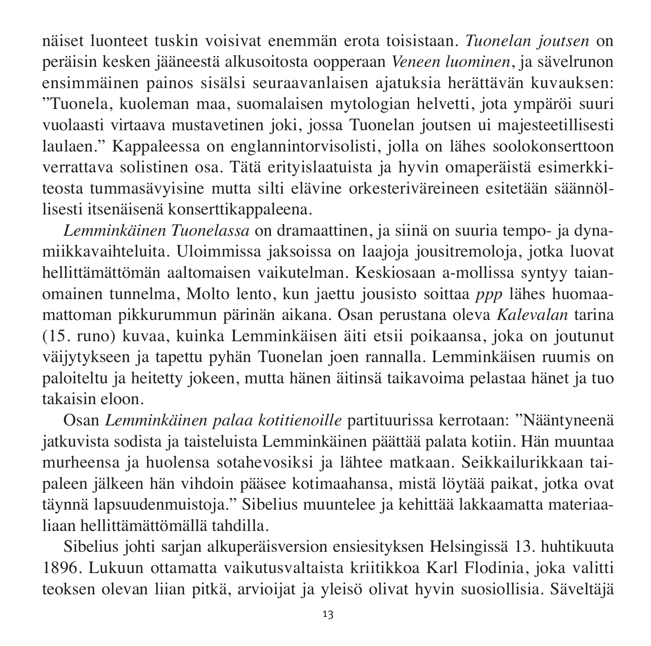näi set luonteet tuskin voisivat enemmän erota toisistaan. *Tuonelan joutsen* on peräisin kesken jääneestä alkusoitosta oopperaan *Veneen luominen*, ja sävelrunon ensimmäinen painos sisälsi seuraavanlaisen ajatuksia herättävän kuvauksen: "Tuonela, kuoleman maa, suomalaisen mytologian helvetti, jota ympäröi suuri vuolaasti virtaava mustavetinen joki, jossa Tuonelan joutsen ui majesteetillisesti laulaen." Kappaleessa on englannintorvisolisti, jolla on lähes soolokonserttoon verrattava solistinen osa. Tätä erityislaatuista ja hyvin omaperäistä esimerkki teosta tummasävyisine mutta silti elävine orkesteriväreineen esitetään säännöllisesti itsenäisenä konserttikappaleena.

*Lemminkäinen Tuonelassa* on dramaattinen, ja siinä on suuria tempo- ja dyna miikkavaihteluita. Uloimmissa jaksoissa on laajoja jousitremoloja, jotka luovat hellittämättömän aaltomaisen vaikutelman. Keskiosaan a-mollissa syntyy taian omainen tunnelma, Molto lento, kun jaettu jousisto soittaa *ppp* lähes huomaamattoman pikkurummun pärinän aikana. Osan perustana oleva *Kalevalan* tarina (15. runo) kuvaa, kuinka Lemminkäisen äiti etsii poikaansa, joka on joutunut väijytykseen ja tapettu pyhän Tuonelan joen rannalla. Lemminkäisen ruumis on paloiteltu ja heitetty jokeen, mutta hänen äitinsä taikavoima pelastaa hänet ja tuo takaisin eloon.

Osan *Lemminkäinen palaa kotitienoille* partituurissa kerrotaan: "Nääntyneenä jatkuvista sodista ja taisteluista Lemminkäinen päättää palata kotiin. Hän muuntaa murheensa ja huolensa sotahevosiksi ja lähtee matkaan. Seikkailurikkaan taipaleen jälkeen hän vihdoin pääsee kotimaahansa, mistä löytää paikat, jotka ovat täynnä lapsuudenmuistoja." Sibelius muuntelee ja kehittää lakkaamatta materiaaliaan hellittämättömällä tahdilla

Sibelius johti sarjan alkuperäisversion ensiesityksen Helsingissä 13. huhtikuuta 1896. Lukuun ottamatta vaikutusvaltaista kriitikkoa Karl Flodinia, joka valitti teoksen olevan liian pitkä, arvioijat ja yleisö olivat hyvin suosiollisia. Säveltäjä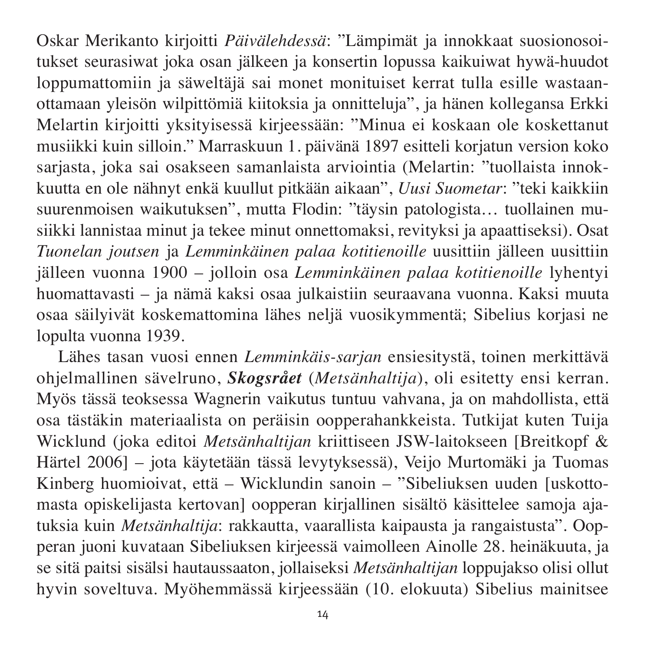Oskar Merikanto kirjoitti *Päivälehdessä*: "Lämpimät ja innokkaat suosionosoitukset seurasiwat joka osan jälkeen ja konsertin lopussa kaikuiwat hywä-huudot loppumattomiin ja säweltäjä sai monet monituiset kerrat tulla esille was taanottamaan yleisön wilpittömiä kiitoksia ja onnitteluja", ja hänen kollegansa Erkki Melartin kirjoitti yksityisessä kirjeessään: "Minua ei koskaan ole koskettanut musiikki kuin silloin." Marraskuun 1. päivänä 1897 esitteli korjatun version koko sarjasta, joka sai osakseen samanlaista arviointia (Melartin: "tuollaista innok kuutta en ole nähnyt enkä kuullut pitkään aikaan", *Uusi Suometar*: "teki kaikkiin suurenmoisen waikutuksen", mutta Flodin: "täysin patologista... tuollainen musiikki lannistaa minut ja tekee minut onnettomaksi, revityksi ja apaattiseksi). Osat *Tuonelan joutsen* ja *Lemminkäinen palaa kotitienoille* uusittiin jäl leen uusittiin jälleen vuonna 1900 – jolloin osa *Lemminkäinen palaa kotitienoille* lyhentyi huomattavasti – ja nämä kaksi osaa julkaistiin seuraavana vuonna. Kaksi muuta osaa säilyivät koskemattomina lähes neljä vuosikymmentä; Sibelius korjasi ne lopulta vuonna 1939.

Lähes tasan vuosi ennen *Lemminkäis-sarjan* ensiesitystä, toinen merkittävä ohjelmallinen sävelruno, *Skogsrået* (*Metsänhaltija*), oli esitetty ensi kerran. Myös tässä teoksessa Wagnerin vaikutus tuntuu vahvana, ja on mahdollista, että osa tästäkin materiaalista on peräisin oopperahankkeista. Tutkijat kuten Tuija Wick lund (joka editoi *Metsänhaltijan* kriittiseen JSW-laitokseen [Breitkopf & Härtel 2006] – jota käytetään tässä levytyksessä), Veijo Murtomäki ja Tuomas Kinberg huomioivat, että – Wicklundin sanoin – "Sibeliuksen uuden [uskottomasta opiskelijasta kertovan] oopperan kirjallinen sisältö käsittelee samoja ajatuksia kuin *Metsänhaltija*: rakkautta, vaarallista kaipausta ja rangaistusta". Oopperan juoni kuvataan Sibeliuksen kirjeessä vaimolleen Ainolle 28. heinäkuuta, ja se sitä paitsi sisälsi hautaussaaton, jollaiseksi *Metsänhaltijan* loppujakso olisi ollut hyvin soveltuva. Myöhemmässä kirjeessään (10. elokuuta) Sibelius mainitsee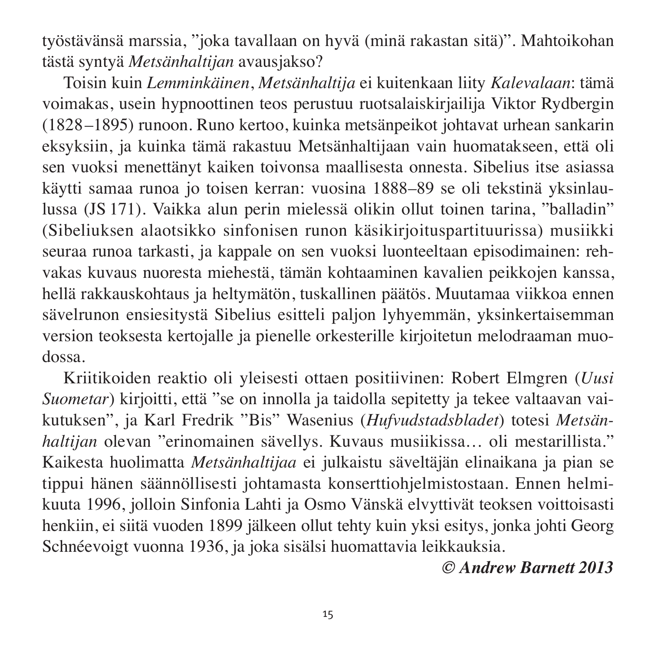työstä vänsä marssia, "joka tavallaan on hyvä (minä rakastan sitä)". Mahtoikohan tästä syntyä *Metsänhaltijan* avausjakso?

Toisin kuin *Lemminkäinen*, *Metsänhaltija* ei kuitenkaan liity *Kalevalaan*: tämä voimakas, usein hypnoottinen teos perustuu ruotsalaiskirjailija Viktor Rydbergin (1828–1895) runoon. Runo kertoo, kuinka metsänpeikot johtavat urhean sankarin eksyksiin, ja kuinka tämä rakastuu Metsänhaltijaan vain huomatakseen, että oli sen vuoksi menettänyt kaiken toivonsa maallisesta onnesta. Sibelius itse asiassa käytti samaa runoa jo toisen kerran: vuosina 1888–89 se oli tekstinä yksinlaulussa (JS 171). Vaikka alun perin mielessä olikin ollut toinen tarina, "balladin" (Sibeliuksen alaotsikko sinfonisen runon käsikirjoituspartituurissa) musiikki seuraa runoa tarkasti, ja kappale on sen vuoksi luonteeltaan episodimainen: reh vakas kuvaus nuoresta miehestä, tämän kohtaaminen kavalien peikkojen kanssa, hellä rakkauskohtaus ja heltymätön, tuskallinen päätös. Muutamaa viikkoa ennen sävelrunon ensiesitystä Sibelius esitteli paljon lyhyemmän, yksinkertaisemman version teoksesta kertojalle ja pienelle orkesterille kirjoitetun melodraaman muo dossa.

Kriitikoiden reaktio oli yleisesti ottaen positiivinen: Robert Elmgren (*Uusi Suometar*) kirjoitti, että "se on innolla ja taidolla sepitetty ja tekee valtaavan vaiku tuksen", ja Karl Fredrik "Bis" Wasenius (*Hufvudstadsbladet*) totesi *Metsän haltijan* olevan "erinomainen sävellys. Kuvaus musiikissa… oli mestarillista." Kaikesta huolimatta *Metsänhaltijaa* ei julkaistu säveltäjän elinaikana ja pian se tippui hänen säännöllisesti johtamasta konserttiohjelmistostaan. Ennen helmi kuuta 1996, jolloin Sinfonia Lahti ja Osmo Vänskä elvyttivät teoksen voittoisasti henkiin, ei siitä vuoden 1899 jälkeen ollut tehty kuin yksi esitys, jonka johti Georg Schnéevoigt vuonna 1936, ja joka sisälsi huomattavia leikkauksia.

#### *© Andrew Barnett 2013*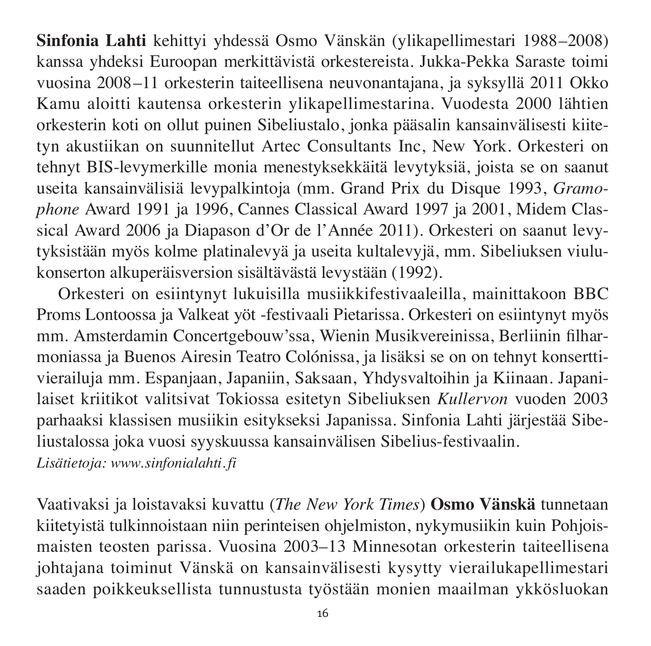**Sinfonia Lahti** kehittyi yhdessä Osmo Vänskän (ylikapellimestari 1988–2008) kanssa yhdeksi Euroopan merkittävistä orkestereista. Jukka-Pekka Saraste toimi vuosina 2008–11 orkesterin taiteellisena neuvonantajana, ja syksyllä 2011 Okko Kamu aloitti kautensa orkesterin ylikapellimestarina. Vuodesta 2000 lähtien orkesterin koti on ollut puinen Sibeliustalo, jonka pääsalin kansainvälisesti kiitetyn akustiikan on suunnitellut Artec Consultants Inc, New York. Orkesteri on tehnyt BIS-levymerkille monia menestyksekkäitä levy tyksiä, joista se on saanut useita kan sain välisiä levypalkintoja (mm. Grand Prix du Disque 1993, *Gramo phone* Award 1991 ja 1996, Cannes Classical Award 1997 ja 2001, Midem Classical Award 2006 ja Diapason d'Or de l'Année 2011). Orkesteri on saanut levy tyksistään myös kolme platinalevyä ja useita kulta levyjä, mm. Sibeliuksen viulukon serton alkuperäis version sisäl tävästä levystään (1992).

Orkesteri on esiintynyt lukuisilla musiikkifestivaaleilla, mainittakoon BBC Proms Lontoossa ja Valkeat yöt -festivaali Pietarissa. Orkesteri on esiintynyt myös mm. Amsterdamin Concertgebouw'ssa, Wienin Musikvereinissa, Berliinin filharmoniassa ja Buenos Airesin Teatro Colónissa, ja lisäksi se on on tehnyt konserttivierailuja mm. Espanjaan, Japaniin, Saksaan, Yhdysvaltoihin ja Kiinaan. Japanilaiset kriitikot valitsivat Tokiossa esitetyn Sibeliuksen *Kullervon* vuoden 2003 parhaaksi klassisen musiikin esitykseksi Japanissa. Sinfonia Lahti järjestää Sibeliustalossa joka vuosi syyskuussa kansainvälisen Sibelius-festivaalin.

*Lisätietoja: www.sinfonialahti. fi*

Vaativaksi ja loistavaksi kuvattu (*The New York Times*) **Osmo Vänskä** tunnetaan kiitetyistä tulkinnoistaan niin perinteisen ohjelmiston, nykymusiikin kuin Pohjoismaisten teosten parissa. Vuosina 2003–13 Minnesotan orkesterin taiteellisena johtajana toiminut Vänskä on kansainvälisesti kysytty vierailukapellimestari saaden poikkeuksellista tunnustusta työstään monien maailman ykkösluokan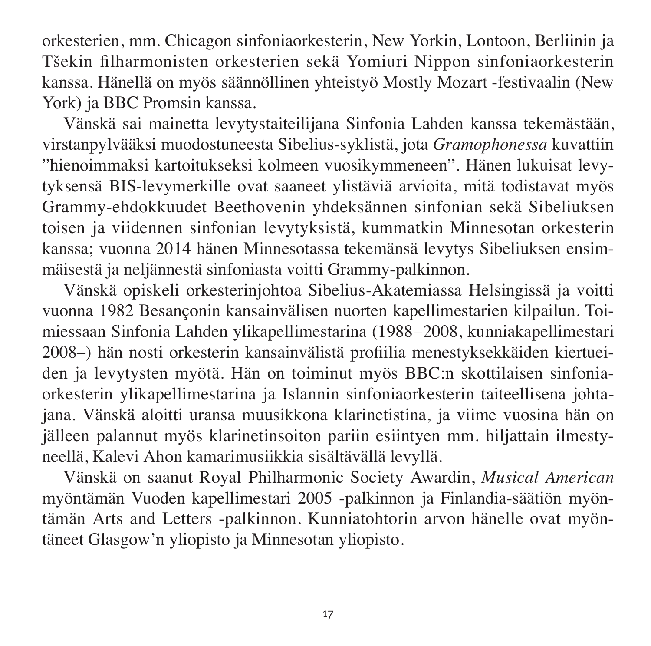orkesterien, mm. Chicagon sinfoniaorkesterin, New Yorkin, Lontoon, Berliinin ja Tšekin filharmonisten orkesterien sekä Yomiuri Nippon sinfoniaorkesterin kanssa. Hänellä on myös säännöllinen yhteistyö Mostly Mozart -festivaalin (New York) ja BBC Promsin kanssa.

Vänskä sai mainetta levytystaiteilijana Sinfonia Lahden kanssa tekemästään, virstanpylvääksi muodostuneesta Sibelius-syklistä, jota *Gramophonessa* kuvattiin "hienoimmaksi kartoitukseksi kolmeen vuosikymmeneen". Hänen lukuisat levy tyksensä BIS-levymerkille ovat saaneet ylistäviä arvioita, mitä todistavat myös Grammy-ehdokkuudet Beethovenin yhdeksännen sinfonian sekä Sibeliuksen toisen ja viidennen sinfonian levytyksistä, kummatkin Minnesotan orkesterin kanssa; vuonna 2014 hänen Minnesotassa tekemänsä levytys Sibeliuksen ensim mäisestä ja neljännestä sinfoniasta voitti Grammy-palkinnon.

Vänskä opiskeli orkesterinjohtoa Sibelius-Akatemiassa Helsingissä ja voitti vuonna 1982 Besançonin kansainvälisen nuorten kapellimestarien kilpailun. Toi miessaan Sinfonia Lahden ylikapellimestarina (1988–2008, kunniakapellimestari 2008–) hän nosti orkesterin kansainvälistä profiilia menestyksekkäiden kiertueiden ja levytysten myötä. Hän on toiminut myös BBC:n skottilaisen sinfonia orkes terin ylikapellimestarina ja Islannin sinfoniaorkesterin taiteellisena johta jana. Vänskä aloitti uransa muusikkona klarinetistina, ja viime vuosina hän on jälleen palannut myös klarinetinsoiton pariin esiintyen mm. hiljattain ilmestyneellä, Kalevi Ahon kamarimusiikkia sisältävällä levyllä.

Vänskä on saanut Royal Philharmonic Society Awardin, *Musical American* myöntämän Vuoden kapellimestari 2005 -palkinnon ja Finlandia-säätiön myöntämän Arts and Letters -palkinnon. Kunniatohtorin arvon hänelle ovat myöntäneet Glasgow'n yliopisto ja Minnesotan yliopisto.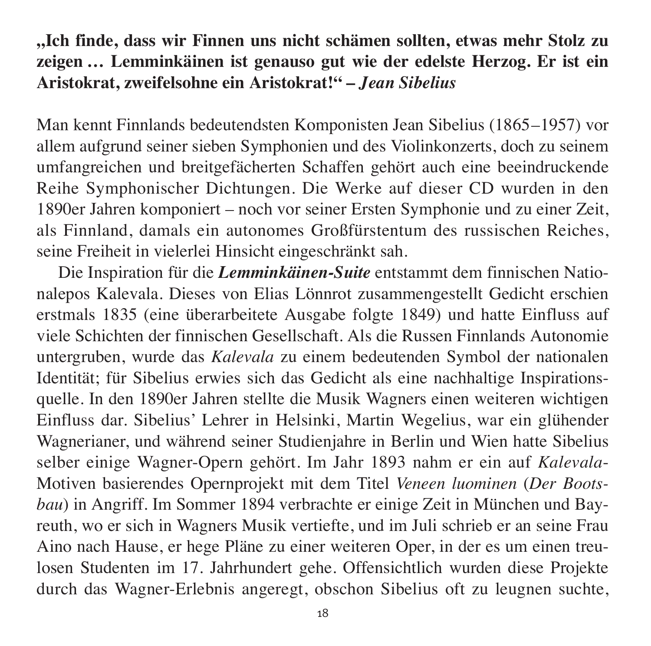## **"Ich finde, dass wir Finnen uns nicht schämen sollten, etwas mehr Stolz zu zeigen … Lemminkäinen ist genauso gut wie der edelste Herzog. Er ist ein Aristokrat, zweifelsohne ein Aristokrat!" –** *Jean Sibelius*

Man kennt Finnlands bedeutendsten Komponisten Jean Sibelius (1865–1957) vor allem aufgrund seiner sieben Symphonien und des Violinkonzerts, doch zu seinem umfangreichen und breitgefächerten Schaffen gehört auch eine beeindruckende Reihe Symphonischer Dichtungen. Die Werke auf dieser CD wurden in den 1890er Jahren komponiert – noch vor seiner Ersten Symphonie und zu einer Zeit, als Finnland, damals ein autonomes Großfürstentum des russischen Reiches, seine Freiheit in vielerlei Hinsicht eingeschränkt sah.

Die Inspiration für die *Lemminkäinen-Suite* entstammt dem finnischen Nationalepos Kalevala. Dieses von Elias Lönnrot zusammengestellt Gedicht erschien erstmals 1835 (eine überarbeitete Ausgabe folgte 1849) und hatte Einfluss auf viele Schichten der finnischen Gesellschaft. Als die Russen Finnlands Autonomie untergruben, wurde das *Kalevala* zu einem bedeutenden Symbol der nationalen Identität; für Sibelius erwies sich das Gedicht als eine nachhaltige Inspirations quelle. In den 1890er Jahren stellte die Musik Wagners einen weiteren wichtigen Einfluss dar. Sibelius' Lehrer in Helsinki, Martin Wegelius, war ein glühender Wagnerianer, und während seiner Studienjahre in Berlin und Wien hatte Sibelius selber einige Wagner-Opern gehört. Im Jahr 1893 nahm er ein auf *Kalevala*-Motiven basierendes Opernprojekt mit dem Titel *Veneen luominen* (*Der Boots bau*) in Angriff. Im Sommer 1894 verbrachte er einige Zeit in München und Bayreuth, wo er sich in Wagners Musik vertiefte, und im Juli schrieb er an seine Frau Aino nach Hause, er hege Pläne zu einer weiteren Oper, in der es um einen treu losen Studenten im 17. Jahrhundert gehe. Offensichtlich wurden diese Projekte durch das Wagner-Erlebnis angeregt, obschon Sibelius oft zu leugnen suchte,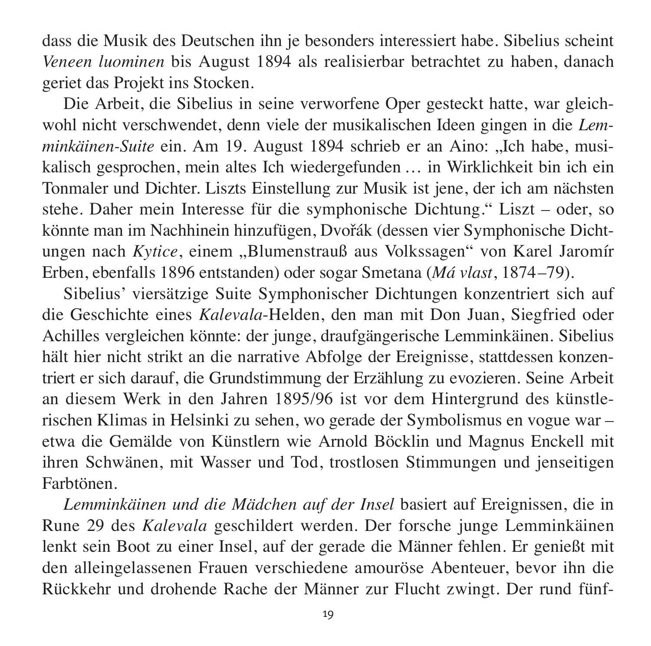dass die Musik des Deutschen ihn je besonders interessiert habe. Sibelius scheint *Veneen luominen* bis August 1894 als realisierbar betrachtet zu haben, danach geriet das Projekt ins Stocken.

Die Arbeit, die Sibelius in seine verworfene Oper gesteckt hatte, war gleich wohl nicht verschwendet, denn viele der musikalischen Ideen gingen in die *Lem minkäinen-Suite* ein. Am 19. August 1894 schrieb er an Aino: ...Ich habe, musikalisch gesprochen, mein altes Ich wiedergefunden … in Wirklichkeit bin ich ein Tonmaler und Dichter. Liszts Einstellung zur Musik ist jene, der ich am nächsten stehe. Daher mein Interesse für die symphonische Dichtung." Liszt – oder, so könnte man im Nachhinein hinzufügen, Dvořák (dessen vier Symphonische Dichtungen nach *Kytice*, einem "Blumenstrauß aus Volkssagen" von Karel Jaromír Erben, ebenfalls 1896 entstanden) oder sogar Smetana (*Má vlast*, 1874–79).

Sibelius' viersätzige Suite Symphonischer Dichtungen konzentriert sich auf die Geschichte eines *Kalevala*-Helden, den man mit Don Juan, Siegfried oder Achilles vergleichen könnte: der junge, draufgängerische Lemminkäinen. Sibelius hält hier nicht strikt an die narrative Abfolge der Ereignisse, stattdessen konzentriert er sich darauf, die Grundstimmung der Erzählung zu evo zieren. Seine Arbeit an diesem Werk in den Jahren 1895/96 ist vor dem Hintergrund des künstlerischen Klimas in Helsinki zu sehen, wo gerade der Symbolismus en vogue war – etwa die Gemälde von Künstlern wie Arnold Böcklin und Magnus Enckell mit ihren Schwänen, mit Wasser und Tod, trostlosen Stimmungen und jenseitigen Farbtönen.

*Lemminkäinen und die Mädchen auf der Insel* basiert auf Ereignissen, die in Rune 29 des *Kalevala* geschildert werden. Der forsche junge Lemminkäinen lenkt sein Boot zu einer Insel, auf der gerade die Männer fehlen. Er genießt mit den alleingelassenen Frauen verschiedene amouröse Abenteuer, bevor ihn die Rück kehr und drohende Rache der Männer zur Flucht zwingt. Der rund fünf -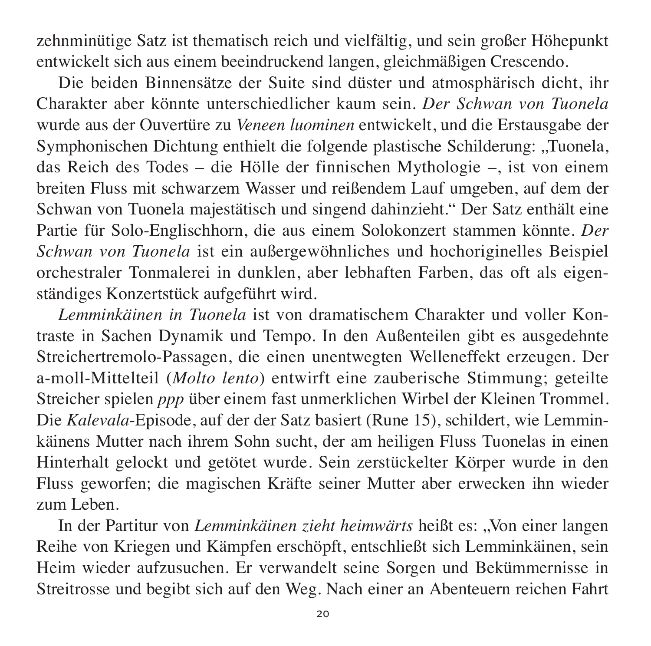zehn minütige Satz ist thematisch reich und vielfältig, und sein großer Höhepunkt entwickelt sich aus einem beeindruckend langen, gleichmäßigen Crescendo.

Die beiden Binnensätze der Suite sind düster und atmosphärisch dicht, ihr Charakter aber könnte unterschiedlicher kaum sein. *Der Schwan von Tuonela* wurde aus der Ouvertüre zu Veneen luominen entwickelt, und die Erstausgabe der Symphonischen Dichtung enthielt die folgende plastische Schilderung: "Tuonela, das Reich des Todes – die Hölle der finnischen Mythologie –, ist von einem breiten Fluss mit schwarzem Wasser und reißendem Lauf umgeben, auf dem der Schwan von Tuonela majestätisch und singend dahinzieht." Der Satz enthält eine Partie für Solo-Englischhorn, die aus einem Solokonzert stammen könnte. *Der Schwan von Tuonela* ist ein außergewöhnliches und hochoriginelles Beispiel orches traler Tonmalerei in dunklen, aber lebhaften Farben, das oft als eigen ständiges Konzertstück aufgeführt wird.

*Lemminkäinen in Tuonela* ist von dramatischem Charakter und voller Kontraste in Sachen Dynamik und Tempo. In den Außenteilen gibt es ausgedehnte Streichertremolo-Passagen, die einen unentwegten Welleneffekt erzeugen. Der a-moll-Mittelteil (*Molto lento*) entwirft eine zauberische Stimmung; geteilte Streicher spielen *ppp* über einem fast unmerklichen Wirbel der Kleinen Trommel. Die *Kalevala*-Episode, auf der der Satz basiert (Rune 15), schildert, wie Lemminkäinens Mutter nach ihrem Sohn sucht, der am heiligen Fluss Tuonelas in einen Hinterhalt gelockt und getötet wurde. Sein zerstückelter Körper wurde in den Fluss geworfen; die magischen Kräfte seiner Mutter aber erwecken ihn wieder zum Leben.

In der Partitur von *Lemminkäinen zieht heimwärts* heißt es: "Von einer langen Reihe von Kriegen und Kämpfen erschöpft, entschließt sich Lemminkäinen, sein Heim wieder aufzusuchen. Er verwandelt seine Sorgen und Bekümmernisse in Streitrosse und begibt sich auf den Weg. Nach einer an Abenteuern reichen Fahrt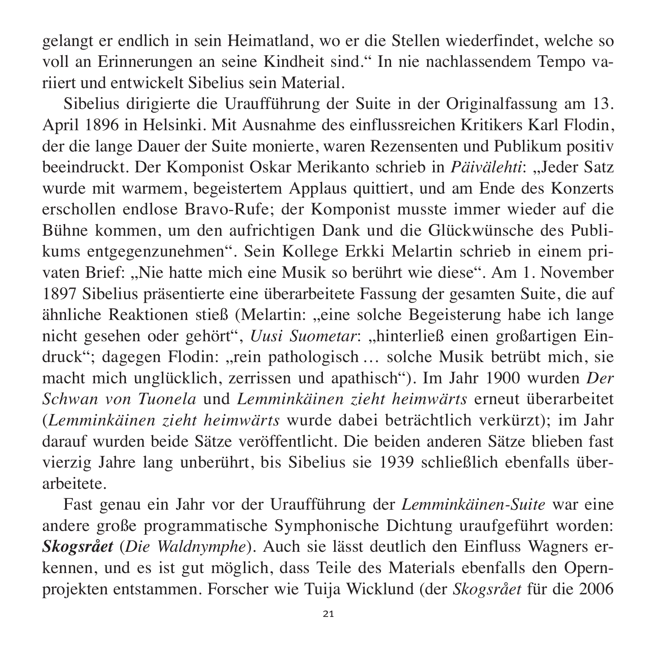gelangt er endlich in sein Heimatland, wo er die Stellen wiederfindet, welche so voll an Erinnerungen an seine Kindheit sind." In nie nachlassendem Tempo va riiert und entwickelt Sibelius sein Material.

Sibelius dirigierte die Uraufführung der Suite in der Originalfassung am 13. April 1896 in Helsinki. Mit Ausnahme des einflussreichen Kritikers Karl Flodin, der die lange Dauer der Suite monierte, waren Rezensenten und Publikum positiv beeindruckt. Der Komponist Oskar Merikanto schrieb in *Päivälehti*: ... Jeder Satz wurde mit warmem, begeistertem Applaus quittiert, und am Ende des Konzerts erschollen endlose Bravo-Rufe; der Komponist musste immer wieder auf die Bühne kommen, um den aufrichtigen Dank und die Glückwünsche des Publi kums entgegenzunehmen". Sein Kollege Erkki Melartin schrieb in einem privaten Brief: "Nie hatte mich eine Musik so berührt wie diese". Am 1. November 1897 Sibelius präsentierte eine überarbeitete Fassung der gesamten Suite, die auf ähnliche Reaktionen stieß (Melartin: "eine solche Begeisterung habe ich lange nicht gesehen oder gehört", *Uusi Suometar*: "hinterließ einen großartigen Eindruck"; dagegen Flodin: "rein pathologisch ... solche Musik betrübt mich, sie macht mich unglücklich, zerrissen und apathisch"). Im Jahr 1900 wurden *Der Schwan von Tuonela* und *Lemminkäinen zieht heimwärts* erneut überarbeitet (*Lemminkäinen zieht heimwärts* wurde dabei beträchtlich verkürzt); im Jahr darauf wurden beide Sätze veröffentlicht. Die beiden anderen Sätze blieben fast vierzig Jahre lang unberührt, bis Sibelius sie 1939 schließlich ebenfalls über arbeitete.

Fast genau ein Jahr vor der Uraufführung der *Lemminkäinen-Suite* war eine andere große programmatische Symphonische Dichtung uraufgeführt worden: *Skogsrået* (*Die Waldnymphe*). Auch sie lässt deutlich den Einfluss Wagners er kennen, und es ist gut möglich, dass Teile des Materials ebenfalls den Opernprojekten entstammen. Forscher wie Tuija Wicklund (der *Skogsrået* für die 2006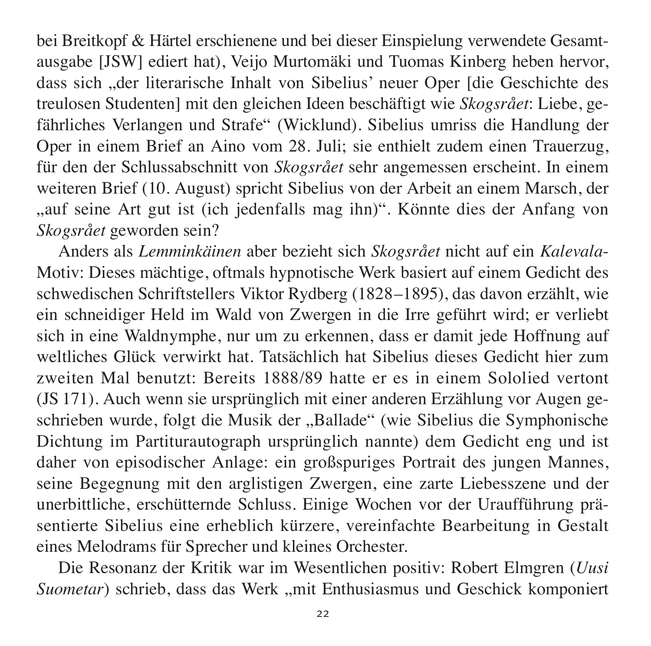bei Breitkopf & Härtel erschienene und bei dieser Einspielung verwendete Gesamt ausgabe [JSW] ediert hat), Veijo Murtomäki und Tuomas Kinberg heben hervor, dass sich "der literarische Inhalt von Sibelius' neuer Oper [die Geschichte des treu losen Studenten] mit den gleichen Ideen beschäftigt wie *Skogsrået*: Liebe, ge fährliches Verlangen und Strafe" (Wicklund). Sibelius umriss die Handlung der Oper in einem Brief an Aino vom 28. Juli; sie enthielt zudem einen Trauerzug, für den der Schlussabschnitt von *Skogsrået* sehr angemessen erscheint. In einem weiteren Brief (10. August) spricht Sibelius von der Arbeit an einem Marsch, der "auf seine Art gut ist (ich jedenfalls mag ihn)". Könnte dies der Anfang von *Skogs rået* geworden sein?

Anders als *Lemminkäinen* aber bezieht sich *Skogsrået* nicht auf ein *Kalevala*-Motiv: Dieses mächtige, oftmals hypnotische Werk basiert auf einem Gedicht des schwedischen Schriftstellers Viktor Rydberg (1828–1895), das davon erzählt, wie ein schneidiger Held im Wald von Zwergen in die Irre geführt wird; er verliebt sich in eine Waldnymphe, nur um zu erkennen, dass er damit jede Hoffnung auf weltliches Glück verwirkt hat. Tatsächlich hat Sibelius dieses Gedicht hier zum zweiten Mal benutzt: Bereits 1888/89 hatte er es in einem Sololied vertont (JS 171). Auch wenn sie ursprünglich mit einer anderen Erzählung vor Augen ge schrieben wurde, folgt die Musik der "Ballade" (wie Sibelius die Symphonische Dichtung im Partiturautograph ursprünglich nannte) dem Gedicht eng und ist daher von episodischer Anlage: ein großspuriges Portrait des jungen Mannes, seine Begegnung mit den arglistigen Zwergen, eine zarte Liebesszene und der unerbittliche, erschütternde Schluss. Einige Wochen vor der Uraufführung präsentierte Sibelius eine erheblich kürzere, vereinfachte Bearbeitung in Gestalt eines Melodrams für Sprecher und kleines Orchester.

Die Resonanz der Kritik war im Wesentlichen positiv: Robert Elmgren (*Uusi Suometar*) schrieb, dass das Werk "mit Enthusiasmus und Geschick komponiert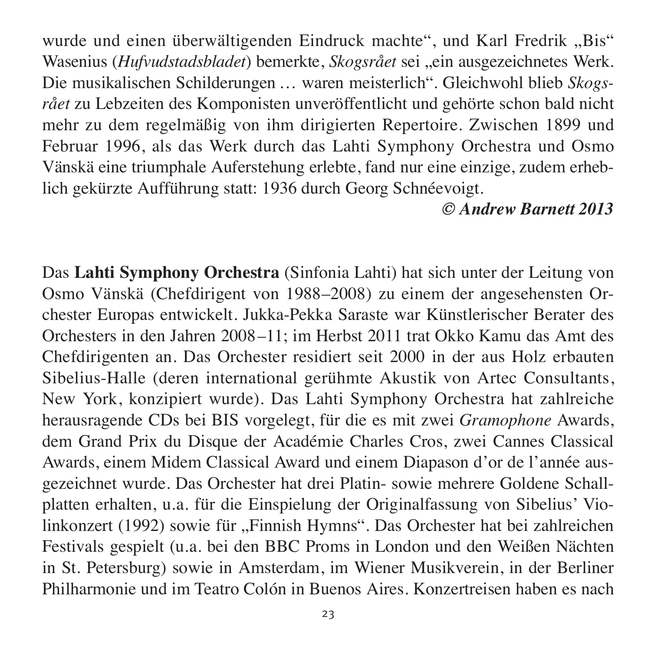wurde und einen überwältigenden Eindruck machte", und Karl Fredrik "Bis" Wasenius (*Hufvudstadsbladet*) bemerkte, *Skogsrået* sei "ein ausgezeichnetes Werk. Die musikalischen Schilderungen … waren meisterlich". Gleichwohl blieb *Skogs rået* zu Lebzeiten des Komponisten unveröffentlicht und gehörte schon bald nicht mehr zu dem regelmäßig von ihm dirigierten Repertoire. Zwischen 1899 und Februar 1996, als das Werk durch das Lahti Symphony Orchestra und Osmo Vänskä eine triumphale Auferstehung erlebte, fand nur eine einzige, zudem erheb lich gekürzte Aufführung statt: 1936 durch Georg Schnéevoigt.

#### *© Andrew Barnett 2013*

Das **Lahti Symphony Orchestra** (Sinfonia Lahti) hat sich unter der Leitung von Osmo Vänskä (Chefdirigent von 1988–2008) zu einem der angesehensten Orches ter Europas entwickelt. Jukka-Pekka Saraste war Künstlerischer Berater des Orches ters in den Jahren 2008–11; im Herbst 2011 trat Okko Kamu das Amt des Chefdirigenten an. Das Orchester residiert seit 2000 in der aus Holz erbauten Sibelius-Halle (deren international gerühmte Akustik von Artec Consultants, New York, konzipiert wurde). Das Lahti Symphony Orchestra hat zahlreiche heraus ragende CDs bei BIS vorgelegt, für die es mit zwei *Gramophone* Awards, dem Grand Prix du Disque der Académie Charles Cros, zwei Cannes Classical Awards, einem Midem Classical Award und einem Diapason d'or de l'année ausgezeichnet wurde. Das Orchester hat drei Platin- sowie mehrere Goldene Schallplatten erhalten, u.a. für die Einspielung der Originalfassung von Sibelius' Violinkonzert (1992) sowie für "Finnish Hymns". Das Orchester hat bei zahlreichen Festivals gespielt (u.a. bei den BBC Proms in London und den Weißen Nächten in St. Petersburg) sowie in Amsterdam, im Wiener Musikverein, in der Berliner Philharmonie und im Teatro Colón in Buenos Aires. Konzertreisen haben es nach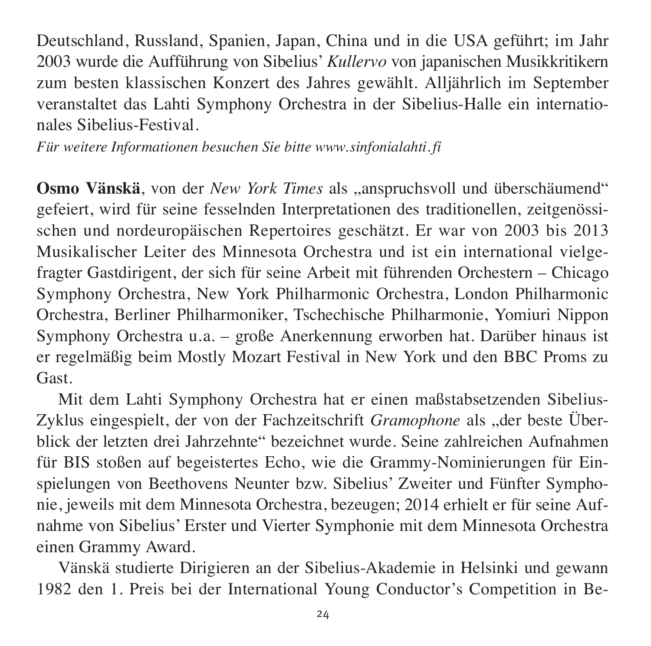Deutschland, Russland, Spanien, Japan, China und in die USA geführt; im Jahr 2003 wurde die Aufführung von Sibelius' *Kullervo* von japanischen Musikkritikern zum besten klassischen Konzert des Jahres gewählt. Alljährlich im September veranstaltet das Lahti Symphony Orchestra in der Sibelius-Halle ein internationales Sibelius-Festival.

*Für weitere Informationen besuchen Sie bitte www.sinfonialahti. fi*

Osmo Vänskä, von der *New York Times* als "anspruchsvoll und überschäumend" gefeiert, wird für seine fesselnden Interpretationen des traditionellen, zeitgenössischen und nordeuropäischen Repertoires geschätzt. Er war von 2003 bis 2013 Musikalischer Leiter des Minnesota Orchestra und ist ein international vielgefragter Gastdirigent, der sich für seine Arbeit mit führenden Orchestern – Chicago Symphony Orchestra, New York Philharmonic Orchestra, London Philharmonic Orchestra, Berliner Philharmoniker, Tschechische Philharmonie, Yomiuri Nippon Symphony Orchestra u.a. – große Anerkennung erworben hat. Darüber hinaus ist er regelmäßig beim Mostly Mozart Festival in New York und den BBC Proms zu Gast.

Mit dem Lahti Symphony Orchestra hat er einen maßstabsetzenden Sibelius-Zyklus eingespielt, der von der Fachzeitschrift *Gramophone* als "der beste Überblick der letzten drei Jahrzehnte" bezeichnet wurde. Seine zahlreichen Aufnahmen für BIS stoßen auf begeistertes Echo, wie die Grammy-Nominierungen für Ein spielungen von Beethovens Neunter bzw. Sibelius' Zweiter und Fünfter Symphonie, jeweils mit dem Minnesota Orchestra, bezeugen; 2014 erhielt er für seine Auf nahme von Sibelius' Erster und Vierter Symphonie mit dem Minnesota Orchestra einen Grammy Award.

Vänskä studierte Dirigieren an der Sibelius-Akademie in Helsinki und gewann 1982 den 1. Preis bei der International Young Conductor's Competition in Be -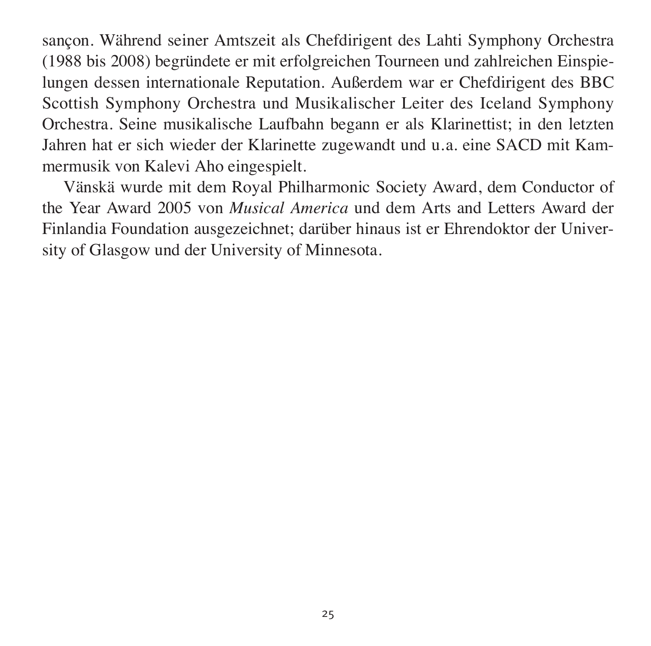sançon. Während seiner Amtszeit als Chefdirigent des Lahti Symphony Orchestra (1988 bis 2008) begründete er mit erfolgreichen Tourneen und zahlreichen Einspie lungen dessen internationale Reputation. Außerdem war er Chefdirigent des BBC Scottish Symphony Orchestra und Musikalischer Leiter des Iceland Symphony Orchestra. Seine musikalische Laufbahn begann er als Klarinettist; in den letzten Jahren hat er sich wieder der Klarinette zugewandt und u.a. eine SACD mit Kammermusik von Kalevi Aho eingespielt.

Vänskä wurde mit dem Royal Philharmonic Society Award, dem Conductor of the Year Award 2005 von *Musical America* und dem Arts and Letters Award der Finlandia Foundation ausgezeichnet; darüber hinaus ist er Ehrendoktor der University of Glasgow und der University of Minnesota.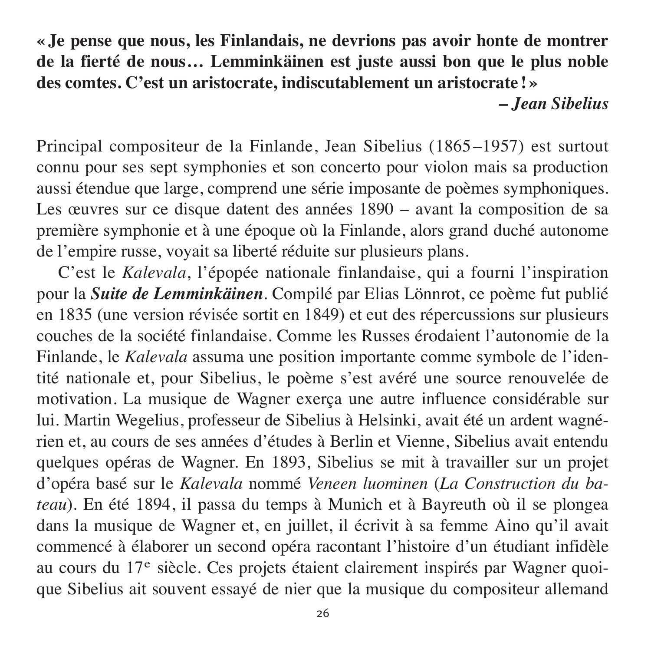**« Je pense que nous, les Finlandais, ne devrions pas avoir honte de montrer de la fierté de nous… Lemminkäinen est juste aussi bon que le plus noble des comtes. C'est un aristocrate, indiscutablement un aristocrate ! »** 

**–** *Jean Sibelius*

Principal compositeur de la Finlande, Jean Sibelius (1865–1957) est surtout connu pour ses sept symphonies et son concerto pour violon mais sa production aussi étendue que large, comprend une série imposante de poèmes symphoniques. Les œuvres sur ce disque datent des années 1890 – avant la composition de sa première symphonie et à une époque où la Finlande, alors grand duché autonome de l'empire russe, voyait sa liberté réduite sur plusieurs plans.

C'est le *Kalevala*, l'épopée nationale finlandaise, qui a fourni l'inspiration pour la *Suite de Lemminkäinen*. Compilé par Elias Lönnrot, ce poème fut publié en 1835 (une version révisée sortit en 1849) et eut des répercussions sur plusieurs couches de la société finlandaise. Comme les Russes érodaient l'autonomie de la Finlande, le *Kalevala* assuma une position importante comme symbole de l'identité nationale et, pour Sibelius, le poème s'est avéré une source renouvelée de moti vation. La musique de Wagner exerça une autre influence considérable sur lui. Martin Wegelius, professeur de Sibelius à Helsinki, avait été un ardent wagnérien et, au cours de ses années d'études à Berlin et Vienne, Sibelius avait entendu quelques opéras de Wagner. En 1893, Sibelius se mit à travailler sur un projet d'opéra basé sur le *Kalevala* nommé *Veneen luominen* (*La Construction du ba teau*). En été 1894, il passa du temps à Munich et à Bayreuth où il se plongea dans la musique de Wagner et, en juillet, il écrivit à sa femme Aino qu'il avait commencé à élaborer un second opéra racontant l'histoire d'un étudiant infidèle au cours du 17<sup>e</sup> siècle. Ces projets étaient clairement inspirés par Wagner quoique Sibelius ait souvent essayé de nier que la musique du compositeur allemand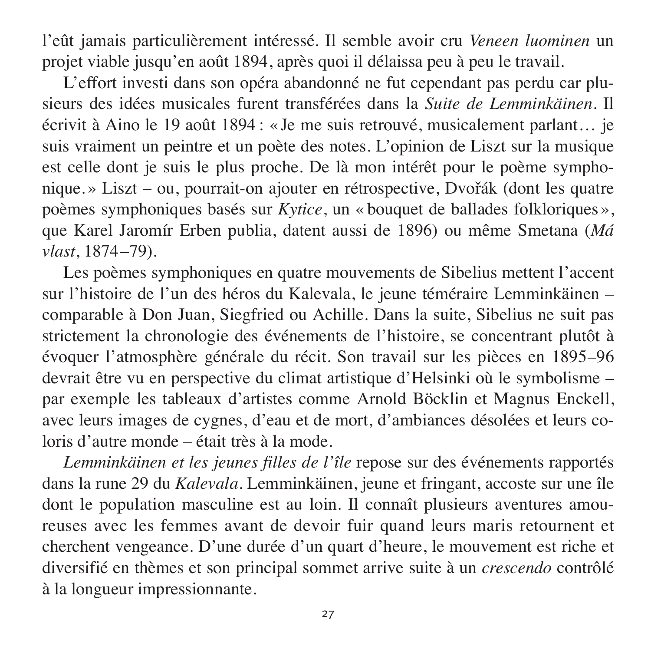l'eût jamais particulièrement intéressé. Il semble avoir cru *Veneen luominen* un projet viable jusqu'en août 1894, après quoi il délaissa peu à peu le travail.

L'effort investi dans son opéra abandonné ne fut cependant pas perdu car plusieurs des idées musicales furent transférées dans la *Suite de Lemminkäinen*. Il écrivit à Aino le 19 août 1894 : « Je me suis retrouvé, musicalement parlant… je suis vraiment un peintre et un poète des notes. L'opinion de Liszt sur la musique est celle dont je suis le plus proche. De là mon intérêt pour le poème symphonique. » Liszt – ou, pourrait-on ajouter en rétrospective, Dvořák (dont les quatre poèmes symphoniques basés sur *Kytice*, un « bouquet de ballades folkloriques », que Karel Jaromír Erben publia, datent aussi de 1896) ou même Smetana (*Má vlast*, 1874–79).

Les poèmes symphoniques en quatre mouvements de Sibelius mettent l'accent sur l'histoire de l'un des héros du Kalevala, le jeune téméraire Lemminkäinen – comparable à Don Juan, Siegfried ou Achille. Dans la suite, Sibelius ne suit pas strictement la chronologie des événements de l'histoire, se concentrant plutôt à évoquer l'atmosphère générale du récit. Son travail sur les pièces en 1895–96 devrait être vu en perspective du climat artistique d'Helsinki où le symbolisme – par exemple les tableaux d'artistes comme Arnold Böcklin et Magnus Enckell, avec leurs images de cygnes, d'eau et de mort, d'ambiances désolées et leurs co loris d'autre monde – était très à la mode.

*Lemminkäinen et les jeunes filles de l'île* repose sur des événements rapportés dans la rune 29 du *Kalevala*. Lemminkäinen, jeune et fringant, accoste sur une île dont le population masculine est au loin. Il connaît plusieurs aventures amoureuses avec les femmes avant de devoir fuir quand leurs maris retournent et cherchent vengeance. D'une durée d'un quart d'heure, le mouvement est riche et diversifié en thèmes et son principal sommet arrive suite à un *crescendo* contrôlé à la longueur impressionnante.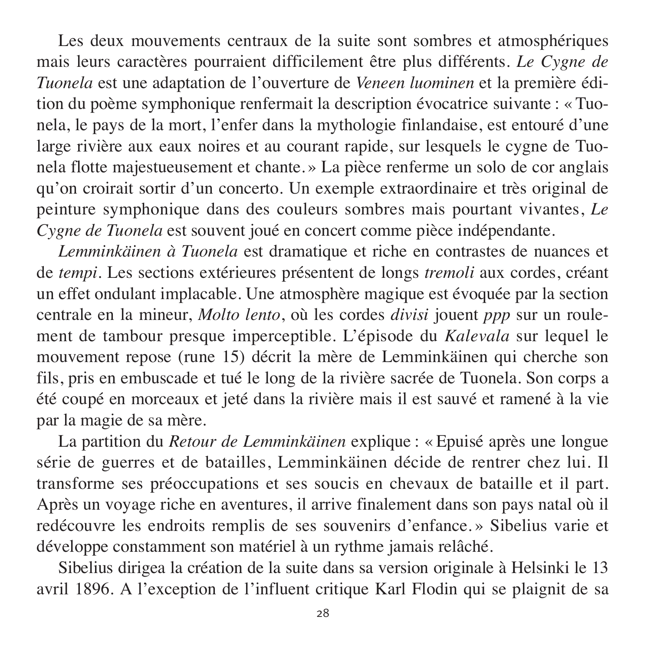Les deux mouvements centraux de la suite sont sombres et atmosphériques mais leurs caractères pourraient difficilement être plus différents. *Le Cygne de Tuonela* est une adaptation de l'ouverture de *Veneen luominen* et la première édition du poème symphonique renfermait la description évocatrice suivante : « Tuo nela, le pays de la mort, l'enfer dans la mythologie finlandaise, est entouré d'une large rivière aux eaux noires et au courant rapide, sur lesquels le cygne de Tuonela flotte majestueusement et chante. » La pièce renferme un solo de cor anglais qu'on croirait sortir d'un concerto. Un exemple extraordinaire et très original de peinture symphonique dans des couleurs sombres mais pourtant vivantes, *Le Cygne de Tuonela* est souvent joué en concert comme pièce indépendante.

*Lemminkäinen à Tuonela* est dramatique et riche en contrastes de nuances et de *tempi*. Les sections extérieures présentent de longs *tremoli* aux cordes, créant un effet ondulant implacable. Une atmosphère magique est évoquée par la section centrale en la mineur, *Molto lento*, où les cordes *divisi* jouent *ppp* sur un roule ment de tambour presque imperceptible. L'épisode du *Kalevala* sur lequel le mouve ment repose (rune 15) décrit la mère de Lemminkäinen qui cherche son fils, pris en embuscade et tué le long de la rivière sacrée de Tuonela. Son corps a été coupé en morceaux et jeté dans la rivière mais il est sauvé et ramené à la vie par la magie de sa mère.

La partition du *Retour de Lemminkäinen* explique : « Epuisé après une longue série de guerres et de batailles, Lemminkäinen décide de rentrer chez lui. Il transforme ses préoccupations et ses soucis en chevaux de bataille et il part. Après un voyage riche en aventures, il arrive finalement dans son pays natal où il redécouvre les endroits remplis de ses souvenirs d'enfance. » Sibelius varie et développe constamment son matériel à un rythme jamais relâché.

Sibelius dirigea la création de la suite dans sa version originale à Helsinki le 13 avril 1896. A l'exception de l'influent critique Karl Flodin qui se plaignit de sa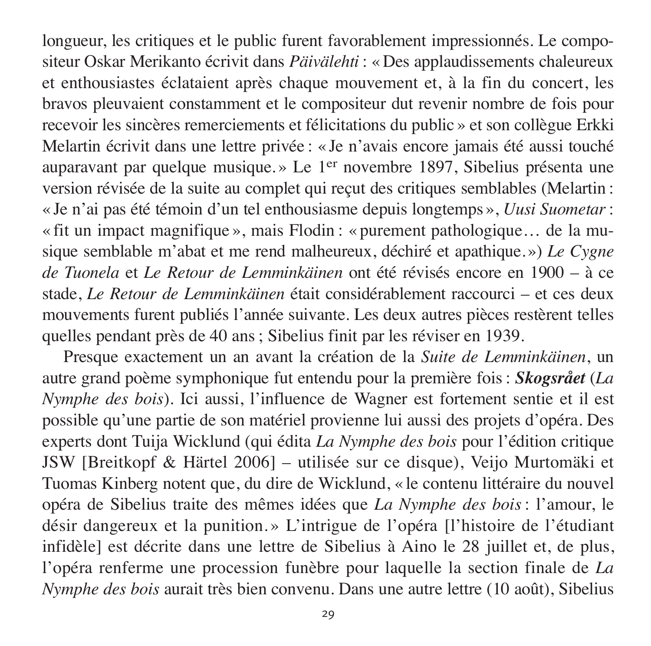longueur, les critiques et le public furent favorablement impressionnés. Le compositeur Oskar Merikanto écrivit dans *Päivälehti* : « Des applaudissements chaleureux et enthousiastes éclataient après chaque mouvement et, à la fin du concert, les bravos pleuvaient constamment et le compositeur dut revenir nombre de fois pour recevoir les sincères remerciements et félicitations du public » et son collègue Erkki Melartin écrivit dans une lettre privée : « Je n'avais encore jamais été aussi touché auparavant par quelque musique.» Le  $1<sup>er</sup>$  novembre 1897, Sibelius présenta une version révisée de la suite au complet qui reçut des critiques semblables (Melartin : « Je n'ai pas été témoin d'un tel enthousiasme depuis long temps », *Uusi Suometar*: « fit un impact magnifique », mais Flodin : « purement pathologique ... de la musique semblable m'abat et me rend malheureux, déchiré et apathique. ») *Le Cygne de Tuonela* et *Le Retour de Lemminkäinen* ont été ré visés encore en 1900 – à ce stade, *Le Retour de Lemminkäinen* était considé rable ment raccourci – et ces deux mouvements furent publiés l'année suivante. Les deux autres pièces restèrent telles quelles pendant près de 40 ans ; Sibelius finit par les réviser en 1939.

Presque exactement un an avant la création de la *Suite de Lemminkäinen*, un autre grand poème symphonique fut entendu pour la première fois : *Skogsrået* (*La Nymphe des bois*). Ici aussi, l'influence de Wagner est fortement sentie et il est possible qu'une partie de son matériel provienne lui aussi des projets d'opéra. Des experts dont Tuija Wicklund (qui édita *La Nymphe des bois* pour l'édition critique JSW [Breitkopf & Härtel 2006] – utilisée sur ce disque), Veijo Murto mäki et Tuomas Kinberg notent que, du dire de Wicklund, « le contenu littéraire du nouvel opéra de Sibelius traite des mêmes idées que *La Nymphe des bois* : l'amour, le désir dangereux et la punition. » L'intrigue de l'opéra [l'histoire de l'étudiant infidèle] est décrite dans une lettre de Sibelius à Aino le 28 juillet et, de plus, l'opéra renferme une procession funèbre pour laquelle la section finale de *La Nymphe des bois* aurait très bien convenu. Dans une autre lettre (10 août), Sibelius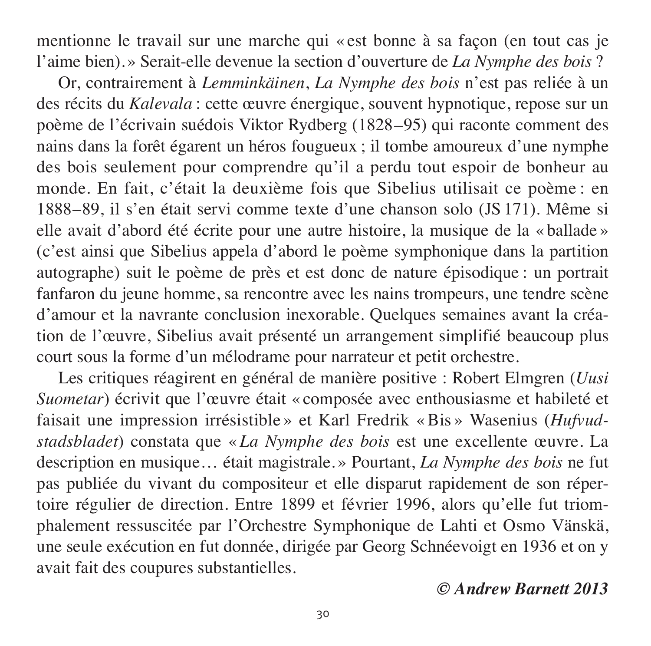mentionne le travail sur une marche qui « est bonne à sa façon (en tout cas je l'aime bien). » Serait-elle devenue la section d'ouverture de *La Nymphe des bois* ?

Or, contrairement à *Lemminkäinen*, *La Nymphe des bois* n'est pas reliée à un des récits du *Kalevala* : cette œuvre énergique, souvent hypnotique, repose sur un poème de l'écrivain suédois Viktor Rydberg (1828–95) qui raconte comment des nains dans la forêt égarent un héros fougueux ; il tombe amoureux d'une nymphe des bois seulement pour comprendre qu'il a perdu tout espoir de bonheur au monde. En fait, c'était la deuxième fois que Sibelius utilisait ce poème : en 1888–89, il s'en était servi comme texte d'une chanson solo (JS 171). Même si elle avait d'abord été écrite pour une autre histoire, la musique de la « ballade » (c'est ainsi que Sibelius appela d'abord le poème symphonique dans la partition autographe) suit le poème de près et est donc de nature épisodique : un portrait fanfaron du jeune homme, sa rencontre avec les nains trompeurs, une tendre scène d'amour et la navrante conclusion inexorable. Quelques semaines avant la création de l'œuvre, Sibelius avait présenté un arrangement simplifié beaucoup plus court sous la forme d'un mélodrame pour narrateur et petit orchestre.

Les critiques réagirent en général de manière positive : Robert Elmgren (*Uusi Suometar*) écrivit que l'œuvre était « composée avec enthousiasme et habileté et faisait une impression irrésistible » et Karl Fredrik « Bis » Wasenius (*Hufvud stads bladet*) constata que « *La Nymphe des bois* est une excellente œuvre. La description en musique… était magistrale. » Pourtant, *La Nymphe des bois* ne fut pas publiée du vivant du compositeur et elle disparut rapidement de son réper toire régulier de direction. Entre 1899 et février 1996, alors qu'elle fut triom phale ment ressuscitée par l'Orchestre Symphonique de Lahti et Osmo Vänskä, une seule exécution en fut donnée, dirigée par Georg Schnéevoigt en 1936 et on y avait fait des coupures substantielles.

#### *© Andrew Barnett 2013*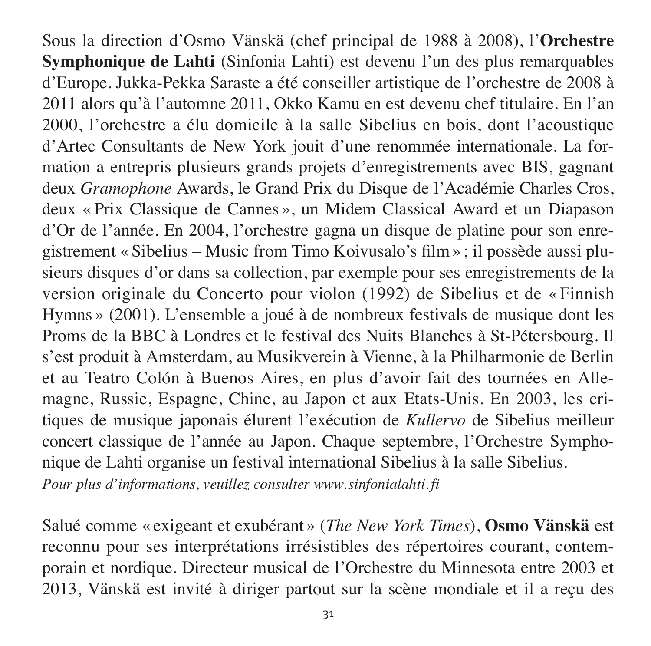Sous la direction d'Osmo Vänskä (chef principal de 1988 à 2008), l'**Orches tre Sym phonique de Lahti** (Sinfonia Lahti) est devenu l'un des plus remarquables d'Europe. Jukka-Pekka Saraste a été conseiller artistique de l'orchestre de 2008 à 2011 alors qu'à l'automne 2011, Okko Kamu en est devenu chef titulaire. En l'an 2000, l'orchestre a élu domicile à la salle Sibelius en bois, dont l'acoustique d'Artec Consultants de New York jouit d'une renommée internationale. La formation a entrepris plusieurs grands projets d'enregistrements avec BIS, gagnant deux *Gramophone* Awards, le Grand Prix du Disque de l'Académie Charles Cros, deux « Prix Classique de Cannes », un Midem Classical Award et un Diapason d'Or de l'année. En 2004, l'orchestre gagna un disque de platine pour son enregistrement « Sibelius – Music from Timo Koivusalo's film » ; il possède aussi plusieurs disques d'or dans sa collection, par exemple pour ses enregistrements de la version originale du Concerto pour violon (1992) de Sibelius et de « Finnish Hymns » (2001). L'ensemble a joué à de nombreux festivals de musique dont les Proms de la BBC à Londres et le festival des Nuits Blanches à St-Pétersbourg. Il s'est produit à Amsterdam, au Musikverein à Vienne, à la Philharmonie de Berlin et au Teatro Colón à Buenos Aires, en plus d'avoir fait des tournées en Allemagne, Russie, Espagne, Chine, au Japon et aux Etats-Unis. En 2003, les critiques de musique japonais élurent l'exécution de *Kullervo* de Sibelius meilleur concert classique de l'année au Japon. Chaque septembre, l'Orchestre Symphonique de Lahti organise un festival international Sibelius à la salle Sibelius.

*Pour plus d'informations, veuillez consulter www.sinfonialahti. fi*

Salué comme « exigeant et exubérant » (*The New York Times*), **Osmo Vänskä** est reconnu pour ses interprétations irrésistibles des répertoires courant, contemporain et nordique. Directeur musical de l'Orchestre du Minnesota entre 2003 et 2013, Vänskä est invité à diriger partout sur la scène mondiale et il a reçu des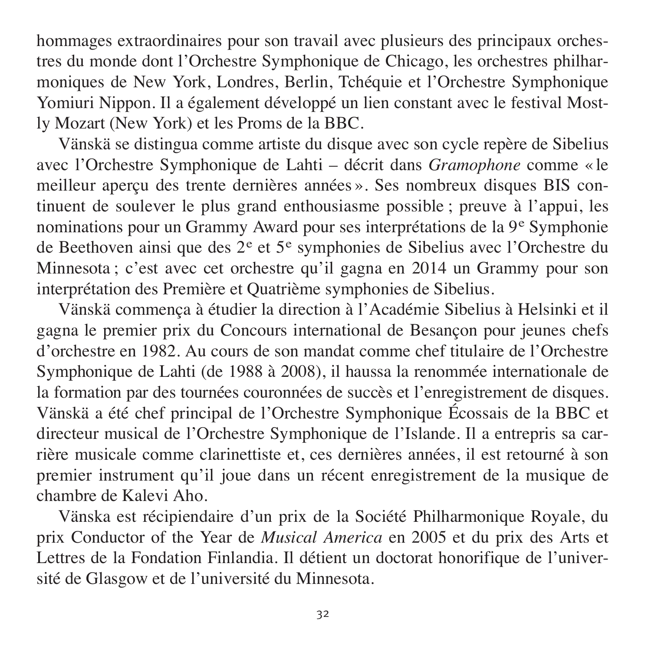hommages extraordinaires pour son travail avec plusieurs des principaux orchestres du monde dont l'Orchestre Symphonique de Chicago, les orchestres philhar moniques de New York, Londres, Berlin, Tchéquie et l'Orchestre Symphonique Yomiuri Nippon. Il a également développé un lien constant avec le festival Mostly Mozart (New York) et les Proms de la BBC.

Vänskä se distingua comme artiste du disque avec son cycle repère de Sibelius avec l'Orchestre Symphonique de Lahti – décrit dans *Gramophone* comme « le meilleur aperçu des trente dernières années ». Ses nombreux disques BIS con tinuent de soulever le plus grand enthousiasme possible ; preuve à l'appui, les nominations pour un Grammy Award pour ses interprétations de la 9<sup>e</sup> Symphonie de Beethoven ainsi que des 2<sup>e</sup> et 5<sup>e</sup> symphonies de Sibelius avec l'Orchestre du Minnesota ; c'est avec cet orchestre qu'il gagna en 2014 un Grammy pour son interprétation des Première et Quatrième symphonies de Sibelius.

Vänskä commença à étudier la direction à l'Académie Sibelius à Helsinki et il gagna le premier prix du Concours international de Besançon pour jeunes chefs d'orchestre en 1982. Au cours de son mandat comme chef titulaire de l'Orchestre Symphonique de Lahti (de 1988 à 2008), il haussa la renommée internationale de la formation par des tournées couronnées de succès et l'enregistrement de disques. Vänskä a été chef principal de l'Orchestre Symphonique Écossais de la BBC et directeur musical de l'Orchestre Symphonique de l'Islande. Il a entrepris sa car rière musicale comme clarinettiste et, ces dernières années, il est retourné à son pre mier instrument qu'il joue dans un récent enregistrement de la musique de chambre de Kalevi Aho.

Vänska est récipiendaire d'un prix de la Société Philharmonique Royale, du prix Conductor of the Year de *Musical America* en 2005 et du prix des Arts et Lettres de la Fondation Finlandia. Il détient un doctorat honorifique de l'université de Glasgow et de l'université du Minnesota.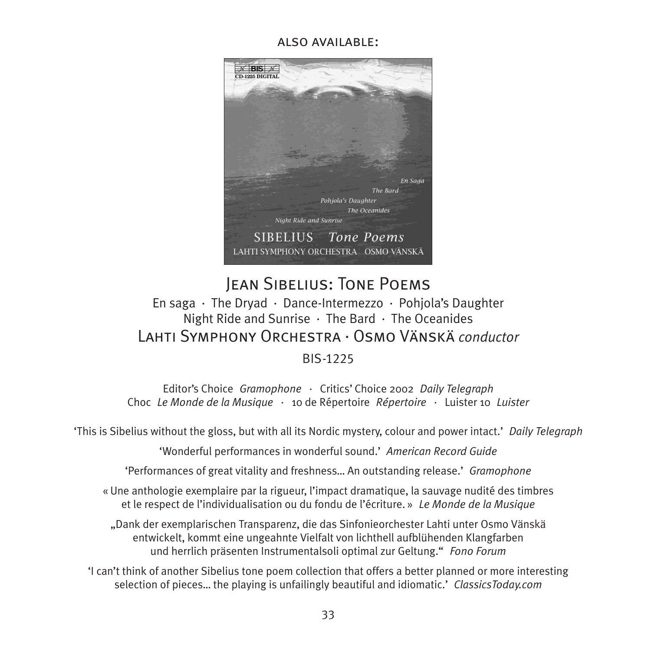#### also available:



#### Jean Sibelius: Tone Poems En saga · The Dryad · Dance-Intermezzo · Pohjola's Daughter Night Ride and Sunrise · The Bard · The Oceanides Lahti Symphony Orchestra · Osmo Vänskä *conductor* **BIS-1225**

Editor's Choice *Gramophone* · Critics' Choice 2002 *Daily Telegraph* Choc *Le Monde de la Musique* · 10 de Répertoire *Répertoire* · Luister 10 *Luister*

'This is Sibelius without the gloss, but with all its Nordic mystery, colour and power intact.' *Daily Telegraph*

'Wonderful performances in wonderful sound.' *American Record Guide*

'Performances of great vitality and freshness… An outstanding release.' *Gramophone*

« Une anthologie exemplaire par la rigueur, l'impact dramatique, la sauvage nudité des timbres et le respect de l'individualisation ou du fondu de l'écriture. » *Le Monde de la Musique*

"Dank der exemplarischen Transparenz, die das Sinfonieorchester Lahti unter Osmo Vänskä entwickelt, kommt eine ungeahnte Vielfalt von lichthell aufblühenden Klangfarben und herrlich präsenten Instrumentalsoli optimal zur Geltung." *Fono Forum*

'I can't think of another Sibelius tone poem collection that offers a better planned or more interesting selection of pieces… the playing is unfailingly beautiful and idiomatic.' *ClassicsToday.com*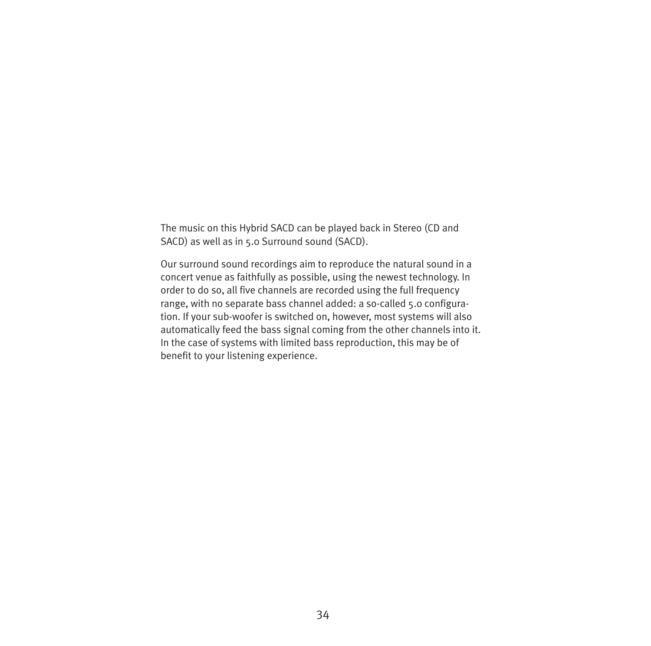The music on this Hybrid SACD can be played back in Stereo (CD and SACD) as well as in 5.0 Surround sound (SACD).

Our surround sound recordings aim to reproduce the natural sound in a concert venue as faith fully as possible, using the newest technology. In order to do so, all five channels are recorded using the full frequency range, with no separate bass channel added: a so-called 5.0 configuration. If your sub-woofer is switched on, however, most systems will also automatically feed the bass signal coming from the other channels into it. In the case of systems with limited bass reproduction, this may be of benefit to your listening experience.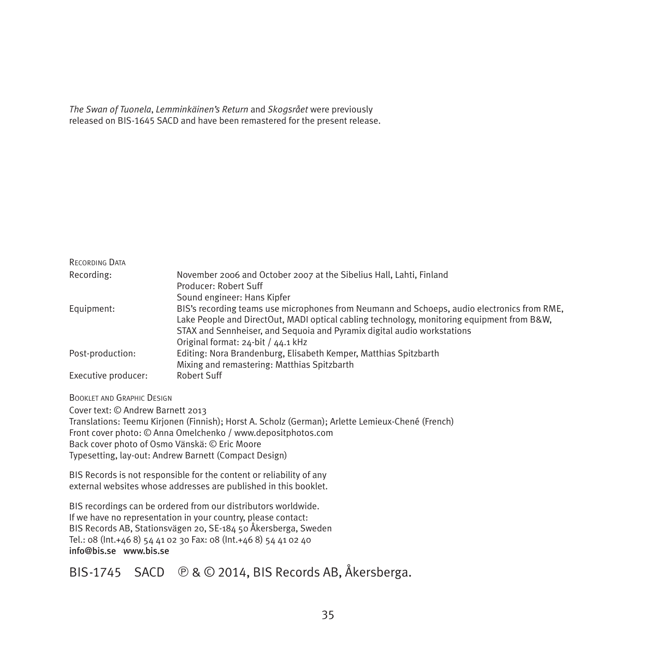*The Swan of Tuonela*, *Lemminkäinen's Return* and *Skogsrået* were previously released on BIS-1645 SACD and have been remastered for the present release.

| RECORDING DATA      |                                                                                             |
|---------------------|---------------------------------------------------------------------------------------------|
| Recording:          | November 2006 and October 2007 at the Sibelius Hall, Lahti, Finland                         |
|                     | Producer: Robert Suff                                                                       |
|                     | Sound engineer: Hans Kipfer                                                                 |
| Equipment:          | BIS's recording teams use microphones from Neumann and Schoeps, audio electronics from RME, |
|                     | Lake People and DirectOut, MADI optical cabling technology, monitoring equipment from B&W,  |
|                     | STAX and Sennheiser, and Sequoia and Pyramix digital audio workstations                     |
|                     | Original format: 24-bit / 44.1 kHz                                                          |
| Post-production:    | Editing: Nora Brandenburg, Elisabeth Kemper, Matthias Spitzbarth                            |
|                     | Mixing and remastering: Matthias Spitzbarth                                                 |
| Executive producer: | Robert Suff                                                                                 |

BOOKLET AND GRAPHIC DESIGN

Cover text: © Andrew Barnett 2013

Translations: Teemu Kirjonen (Finnish); Horst A. Scholz (German); Arlette Lemieux-Chené (French) Front cover photo: © Anna Omelchenko / www.depositphotos.com Back cover photo of Osmo Vänskä: © Eric Moore Typesetting, lay-out: Andrew Barnett (Compact Design)

BIS Records is not responsible for the content or reliability of any external websites whose addresses are published in this booklet.

BIS recordings can be ordered from our distributors worldwide. If we have no representation in your country, please contact: BIS Records AB, Stationsvägen 20, SE-184 50 Åkersberga, Sweden Tel.: 08 (Int.+46 8) 54 41 02 30 Fax: 08 (Int.+46 8) 54 41 02 40 info@bis.se www.bis.se

#### BIS-1745 SACD  $\bigcirc$  &  $\bigcirc$  2014, BIS Records AB, Åkersberga.